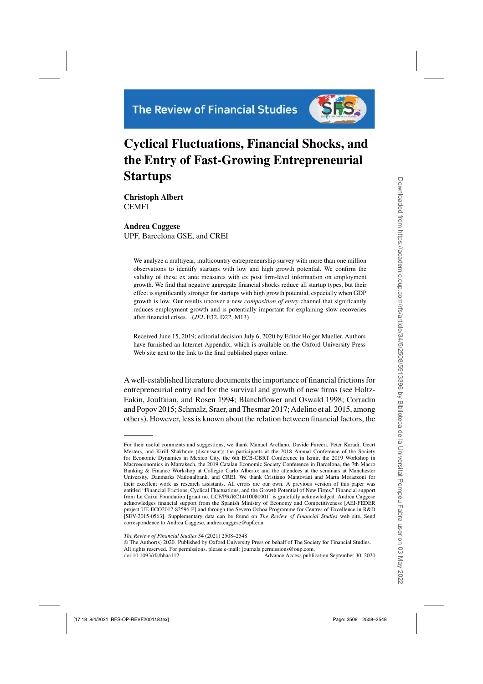

# **Cyclical Fluctuations, Financial Shocks, and the Entry of Fast-Growing Entrepreneurial Startups**

**Christoph Albert CEMFI** 

**Andrea Caggese** UPF, Barcelona GSE, and CREI

We analyze a multiyear, multicountry entrepreneurship survey with more than one million observations to identify startups with low and high growth potential. We confirm the validity of these ex ante measures with ex post firm-level information on employment growth. We find that negative aggregate financial shocks reduce all startup types, but their effect is significantly stronger for startups with high growth potential, especially when GDP growth is low. Our results uncover a new *composition of entry* channel that significantly reduces employment growth and is potentially important for explaining slow recoveries after financial crises. (*JEL* E32, D22, M13)

Received June 15, 2019; editorial decision July 6, 2020 by Editor Holger Mueller. Authors have furnished an Internet Appendix, which is available on the Oxford University Press Web site next to the link to the final published paper online.

A well-established literature documents the importance of financial frictions for entrepreneurial entry and fo[r the survival and growth of new firms \(see](#page-39-0) Holtz-Eakin, Jo[ulfaian, and Rosen 1994; Blanchflower and Oswald 1998;](#page-39-0) Corradin and Popov [2015;](#page-39-0) [Schmalz, Sraer, and Thesmar 2017;](#page-40-0) [Adelino et al. 2015](#page-38-0), among others). However, less is known about the relation between financial factors, the

© The Author(s) 2020. Published by Oxford University Press on behalf of The Society for Financial Studies. All rights reserved. For permissions, please e-mail: journals.permissions@oup.com.

doi:10.1093/rfs/hhaa112 Advance Access publication September 30, 2020

For their useful comments and suggestions, we thank Manuel Arellano, Davide Furceri, Peter Karadi, Geert Mesters, and Kirill Shakhnov (discussant); the participants at the 2018 Annual Conference of the Society for Economic Dynamics in Mexico City, the 6th ECB-CBRT Conference in Izmir, the 2019 Workshop in Macroeconomics in Marrakech, the 2019 Catalan Economic Society Conference in Barcelona, the 7th Macro Banking & Finance Workshop at Collegio Carlo Alberto; and the attendees at the seminars at Manchester University, Danmarks Nationalbank, and CREI. We thank Cristiano Mantovani and Marta Morazzoni for their excellent work as research assistants. All errors are our own. A previous version of this paper was entitled "Financial Frictions, Cyclical Fluctuations, and the Growth Potential of New Firms." Financial support from La Caixa Foundation [grant no. LCF/PR/RC14/10080001] is gratefully acknowledged. Andrea Caggese acknowledges financial support from the Spanish Ministry of Economy and Competitiveness [AEI-FEDER project UE-ECO2017-82596-P] and through the Severo Ochoa Programme for Centres of Excellence in R&D [SEV-2015-0563]. [Supplementary](https://academic.oup.com/rfs/article-lookup/doi/10.1093/rfs/hhaa112#supplementary-data) data can be found on *The Review of Financial Studies* web site. Send correspondence to Andrea Caggese, andrea.caggese@upf.edu.

*The Review of Financial Studies* 34 (2021) 2508–2548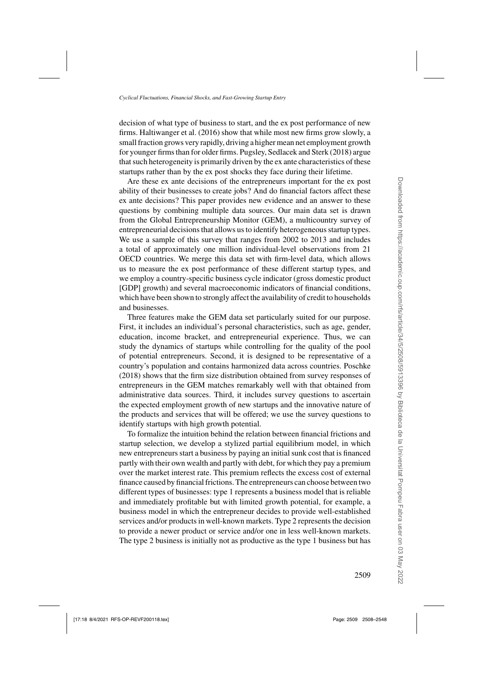decision of what type of business to start, and the ex post performance of new firms. [Haltiwanger et al.](#page-39-0) [\(2016](#page-39-0)) show that while most new firms grow slowly, a small fraction grows very rapidly, driving a higher mean net employment growth for younger firms than for older firms. Pugsley, Sedlacek and Sterk (2018) argue that such heterogeneity is primarily driven by the ex ante characteristics of these startups rather than by the ex post shocks they face during their lifetime.

Are these ex ante decisions of the entrepreneurs important for the ex post ability of their businesses to create jobs? And do financial factors affect these ex ante decisions? This paper provides new evidence and an answer to these questions by combining multiple data sources. Our main data set is drawn from the Global Entrepreneurship Monitor (GEM), a multicountry survey of entrepreneurial decisions that allows us to identify heterogeneous startup types. We use a sample of this survey that ranges from 2002 to 2013 and includes a total of approximately one million individual-level observations from 21 OECD countries. We merge this data set with firm-level data, which allows us to measure the ex post performance of these different startup types, and we employ a country-specific business cycle indicator (gross domestic product [GDP] growth) and several macroeconomic indicators of financial conditions, which have been shown to strongly affect the availability of credit to households and businesses.

Three features make the GEM data set particularly suited for our purpose. First, it includes an individual's personal characteristics, such as age, gender, education, income bracket, and entrepreneurial experience. Thus, we can study the dynamics of startups while controlling for the quality of the pool of potential entrepreneurs. Second, it is designed to be representative of a country's population and contains harmonized data across countries. [Poschke](#page-40-0) [\(2018\)](#page-40-0) shows that the firm size distribution obtained from survey responses of entrepreneurs in the GEM matches remarkably well with that obtained from administrative data sources. Third, it includes survey questions to ascertain the expected employment growth of new startups and the innovative nature of the products and services that will be offered; we use the survey questions to identify startups with high growth potential.

To formalize the intuition behind the relation between financial frictions and startup selection, we develop a stylized partial equilibrium model, in which new entrepreneurs start a business by paying an initial sunk cost that is financed partly with their own wealth and partly with debt, for which they pay a premium over the market interest rate. This premium reflects the excess cost of external finance caused by financial frictions. The entrepreneurs can choose between two different types of businesses: type 1 represents a business model that is reliable and immediately profitable but with limited growth potential, for example, a business model in which the entrepreneur decides to provide well-established services and/or products in well-known markets. Type 2 represents the decision to provide a newer product or service and/or one in less well-known markets. The type 2 business is initially not as productive as the type 1 business but has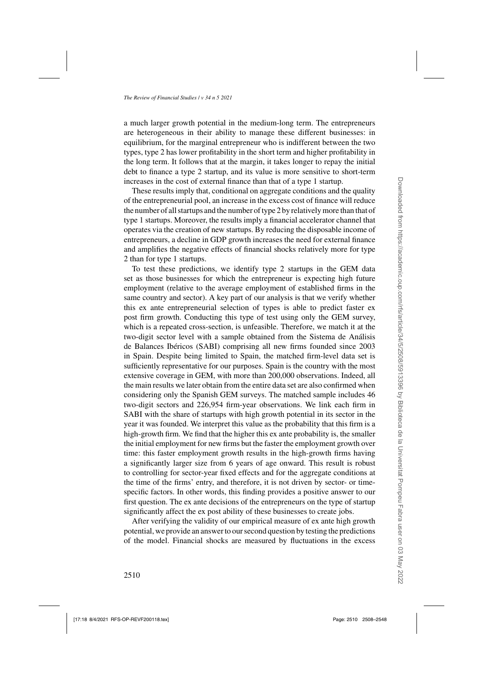a much larger growth potential in the medium-long term. The entrepreneurs are heterogeneous in their ability to manage these different businesses: in equilibrium, for the marginal entrepreneur who is indifferent between the two types, type 2 has lower profitability in the short term and higher profitability in the long term. It follows that at the margin, it takes longer to repay the initial debt to finance a type 2 startup, and its value is more sensitive to short-term increases in the cost of external finance than that of a type 1 startup.

These results imply that, conditional on aggregate conditions and the quality of the entrepreneurial pool, an increase in the excess cost of finance will reduce the number of all startups and the number of type 2 by relatively more than that of type 1 startups. Moreover, the results imply a financial accelerator channel that operates via the creation of new startups. By reducing the disposable income of entrepreneurs, a decline in GDP growth increases the need for external finance and amplifies the negative effects of financial shocks relatively more for type 2 than for type 1 startups.

To test these predictions, we identify type 2 startups in the GEM data set as those businesses for which the entrepreneur is expecting high future employment (relative to the average employment of established firms in the same country and sector). A key part of our analysis is that we verify whether this ex ante entrepreneurial selection of types is able to predict faster ex post firm growth. Conducting this type of test using only the GEM survey, which is a repeated cross-section, is unfeasible. Therefore, we match it at the two-digit sector level with a sample obtained from the Sistema de Análisis de Balances Ibéricos (SABI) comprising all new firms founded since 2003 in Spain. Despite being limited to Spain, the matched firm-level data set is sufficiently representative for our purposes. Spain is the country with the most extensive coverage in GEM, with more than 200,000 observations. Indeed, all the main results we later obtain from the entire data set are also confirmed when considering only the Spanish GEM surveys. The matched sample includes 46 two-digit sectors and 226,954 firm-year observations. We link each firm in SABI with the share of startups with high growth potential in its sector in the year it was founded. We interpret this value as the probability that this firm is a high-growth firm. We find that the higher this ex ante probability is, the smaller the initial employment for new firms but the faster the employment growth over time: this faster employment growth results in the high-growth firms having a significantly larger size from 6 years of age onward. This result is robust to controlling for sector-year fixed effects and for the aggregate conditions at the time of the firms' entry, and therefore, it is not driven by sector- or timespecific factors. In other words, this finding provides a positive answer to our first question. The ex ante decisions of the entrepreneurs on the type of startup significantly affect the ex post ability of these businesses to create jobs.

After verifying the validity of our empirical measure of ex ante high growth potential, we provide an answer to our second question by testing the predictions of the model. Financial shocks are measured by fluctuations in the excess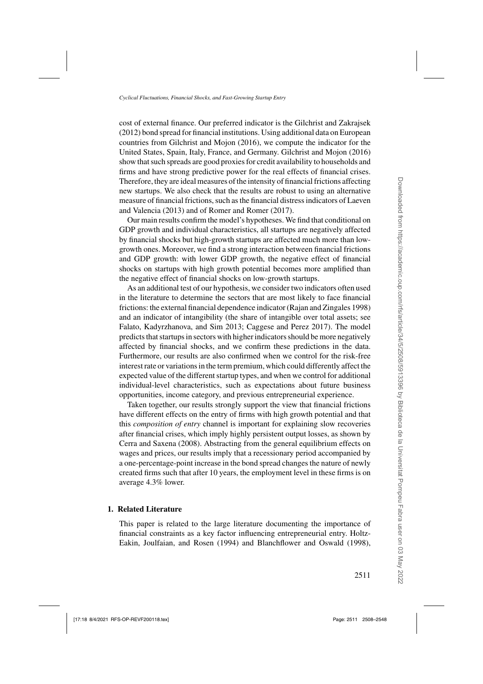<span id="page-3-0"></span>cost of external finance. Our preferred indicator is the [Gilchrist and Zakrajsek](#page-39-0) [\(2012\)](#page-39-0) bond spread for financial institutions. Using additional data on European countries from Gilchrist and Mojon (2016), we compute the indicator for the United States, Spain, Italy, France, and Germany. Gilchrist and Mojon (2016) show that such spreads are good proxies for credit availability to households and firms and have strong predictive power for the real effects of financial crises. Therefore, they are ideal measures of the intensity of financial frictions affecting new startups. We also check that the results are robust to using an alternative measure of fi[nancial frictions, such as the financial distress indicators of](#page-40-0) Laeven and Valencia [\(2013\)](#page-40-0) and of [Romer and Romer](#page-40-0) [\(2017](#page-40-0)).

Our main results confirm the model's hypotheses. We find that conditional on GDP growth and individual characteristics, all startups are negatively affected by financial shocks but high-growth startups are affected much more than lowgrowth ones. Moreover, we find a strong interaction between financial frictions and GDP growth: with lower GDP growth, the negative effect of financial shocks on startups with high growth potential becomes more amplified than the negative effect of financial shocks on low-growth startups.

As an additional test of our hypothesis, we consider two indicators often used in the literature to determine the sectors that are most likely to face financial frictions: the external financial dependence indicator [\(Rajan and Zingales 1998](#page-40-0)) and an indicator of intangibility (the share of intangible over total assets; see [Falato, Kadyrzhanova, and Sim 2013; Caggese and Perez 2017\)](#page-39-0). The model predicts that startups in sectors with higher indicators should be more negatively affected by financial shocks, and we confirm these predictions in the data. Furthermore, our results are also confirmed when we control for the risk-free interest rate or variations in the term premium, which could differently affect the expected value of the different startup types, and when we control for additional individual-level characteristics, such as expectations about future business opportunities, income category, and previous entrepreneurial experience.

Taken together, our results strongly support the view that financial frictions have different effects on the entry of firms with high growth potential and that this *composition of entry* channel is important for explaining slow recoveries after financial crises, which imply highly persistent output losses, as shown by [Cerra and Saxena](#page-39-0) [\(2008\)](#page-39-0). Abstracting from the general equilibrium effects on wages and prices, our results imply that a recessionary period accompanied by a one-percentage-point increase in the bond spread changes the nature of newly created firms such that after 10 years, the employment level in these firms is on average 4.3% lower.

# **1. Related Literature**

This paper is related to the large literature documenting the importance of financial constraints as a ke[y factor influencing entrepreneurial entry.](#page-39-0) Holtz-Eakin, Joulfaian, and Rosen [\(1994\)](#page-39-0) and [Blanchflower and Oswald](#page-39-0) [\(1998\)](#page-39-0),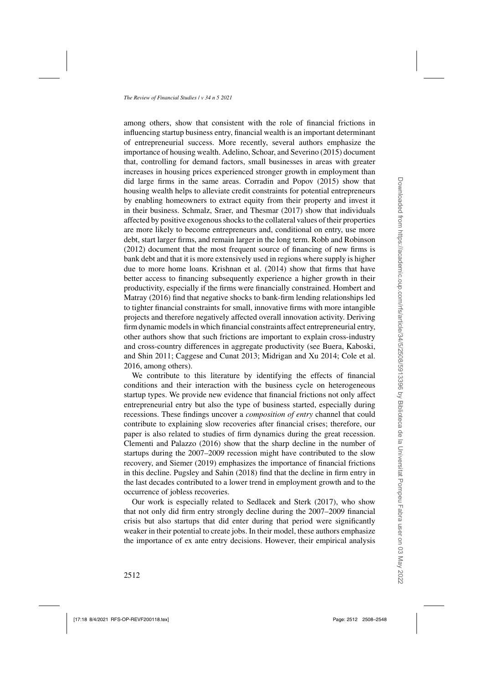among others, show that consistent with the role of financial frictions in influencing startup business entry, financial wealth is an important determinant of entrepreneurial success. More recently, several authors emphasize the importance of housing wealth. [Adelino, Schoar, and Severino](#page-38-0) [\(2015\)](#page-38-0) document that, controlling for demand factors, small businesses in areas with greater increases in housing prices experienced stronger growth in employment than did large firms in the same areas. [Corradin and Popov](#page-39-0) [\(2015\)](#page-39-0) show that housing wealth helps to alleviate credit constraints for potential entrepreneurs by enabling homeowners to extract equity from their property and invest it in their business. [Schmalz, Sraer, and Thesmar](#page-40-0) [\(2017](#page-40-0)) show that individuals affected by positive exogenous shocks to the collateral values of their properties are more likely to become entrepreneurs and, conditional on entry, use more debt, start larger firms, and remain larger in the long term. [Robb and Robinson](#page-40-0) [\(2012\)](#page-40-0) document that the most frequent source of financing of new firms is bank debt and that it is more extensively used in regions where supply is higher due to more home loans. [Krishnan et al.](#page-39-0) [\(2014](#page-39-0)) show that firms that have better access to financing subsequently experience a higher growth in their produc[tivity, especially if the firms were financially constrained.](#page-39-0) Hombert and Matray [\(2016\)](#page-39-0) find that negative shocks to bank-firm lending relationships led to tighter financial constraints for small, innovative firms with more intangible projects and therefore negatively affected overall innovation activity. Deriving firm dynamic models in which financial constraints affect entrepreneurial entry, other authors show that such frictions are important to explain cross-industry and cros[s-country](#page-39-0) [differences](#page-39-0) [in](#page-39-0) [aggregate](#page-39-0) [productivity](#page-39-0) [\(see](#page-39-0) Buera, Kaboski, and Shin [2011; Caggese and Cunat 2013](#page-39-0); [Midrigan and Xu 2014](#page-40-0); [Cole et al.](#page-39-0) [2016](#page-39-0), among others).

We contribute to this literature by identifying the effects of financial conditions and their interaction with the business cycle on heterogeneous startup types. We provide new evidence that financial frictions not only affect entrepreneurial entry but also the type of business started, especially during recessions. These findings uncover a *composition of entry* channel that could contribute to explaining slow recoveries after financial crises; therefore, our paper is also related to studies of firm dynamics during the great recession. [Clementi and Palazzo](#page-39-0) [\(2016\)](#page-39-0) show that the sharp decline in the number of startups during the 2007–2009 recession might have contributed to the slow recovery, and [Siemer](#page-40-0) [\(2019](#page-40-0)) emphasizes the importance of financial frictions in this decline. [Pugsley and Sahin](#page-40-0) [\(2018\)](#page-40-0) find that the decline in firm entry in the last decades contributed to a lower trend in employment growth and to the occurrence of jobless recoveries.

Our work is especially related to [Sedlacek and Sterk](#page-40-0) [\(2017](#page-40-0)), who show that not only did firm entry strongly decline during the 2007–2009 financial crisis but also startups that did enter during that period were significantly weaker in their potential to create jobs. In their model, these authors emphasize the importance of ex ante entry decisions. However, their empirical analysis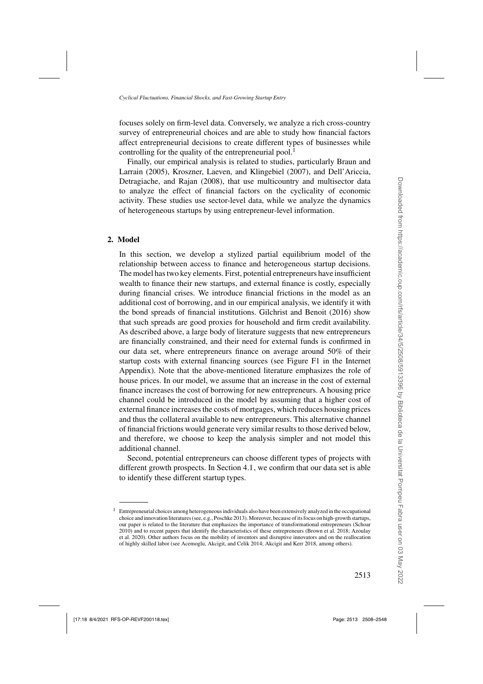focuses solely on firm-level data. Conversely, we analyze a rich cross-country survey of entrepreneurial choices and are able to study how financial factors affect entrepreneurial decisions to create different types of businesses while controlling for the quality of the entrepreneurial pool.<sup>1</sup>

Fina[lly, our empirical analysis is related to studies, particularly](#page-39-0) Braun and Larrain [\(2005\)](#page-39-0), [Kroszner, Laeven, and Klingebiel](#page-40-0)[\(2007](#page-40-0)[\), and](#page-39-0) Dell'Ariccia, Detragiache, and Rajan [\(2008](#page-39-0)), that use multicountry and multisector data to analyze the effect of financial factors on the cyclicality of economic activity. These studies use sector-level data, while we analyze the dynamics of heterogeneous startups by using entrepreneur-level information.

### **2. Model**

In this section, we develop a stylized partial equilibrium model of the relationship between access to finance and heterogeneous startup decisions. The model has two key elements. First, potential entrepreneurs have insufficient wealth to finance their new startups, and external finance is costly, especially during financial crises. We introduce financial frictions in the model as an additional cost of borrowing, and in our empirical analysis, we identify it with the bond spreads of financial institutions. [Gilchrist and Benoit](#page-39-0) [\(2016\)](#page-39-0) show that such spreads are good proxies for household and firm credit availability. As described above, a large body of literature suggests that new entrepreneurs are financially constrained, and their need for external funds is confirmed in our data set, where entrepreneurs finance on average around 50% of their startup costs with external financing sources (see [Figure F1](https://academic.oup.com/rfs/article-lookup/doi/10.1093/rfs/hhaa112#supplementary-data) in the [Internet](https://academic.oup.com/rfs/article-lookup/doi/10.1093/rfs/hhaa112#supplementary-data) [Appendix\)](https://academic.oup.com/rfs/article-lookup/doi/10.1093/rfs/hhaa112#supplementary-data). Note that the above-mentioned literature emphasizes the role of house prices. In our model, we assume that an increase in the cost of external finance increases the cost of borrowing for new entrepreneurs. A housing price channel could be introduced in the model by assuming that a higher cost of external finance increases the costs of mortgages, which reduces housing prices and thus the collateral available to new entrepreneurs. This alternative channel of financial frictions would generate very similar results to those derived below, and therefore, we choose to keep the analysis simpler and not model this additional channel.

Second, potential entrepreneurs can choose different types of projects with different growth prospects. In Section [4.1,](#page-17-0) we confirm that our data set is able to identify these different startup types.

<sup>&</sup>lt;sup>1</sup> Entrepreneurial choices among heterogeneous individuals also have been extensively analyzed in the occupational choice and innovation literatures (see, e.g.[, Poschke 2013](#page-40-0)).Moreover, because of its focus on high-growth startups, our paper is related to the literature that emphasizes the importance of transformational entrepreneurs [\(Schoar](#page-40-0) [2010\)](#page-40-0) [and to recent papers that identify the characteristics of these entrepreneurs \(Brown et al. 2018;](#page-39-0) Azoulay et al. [2020](#page-39-0)). Other authors focus on the mobility of inventors and disruptive innovators and on the reallocation of highly skilled labor (see [Acemoglu, Akcigit, and Celik 2014; Akcigit and Kerr 2018](#page-38-0), among others).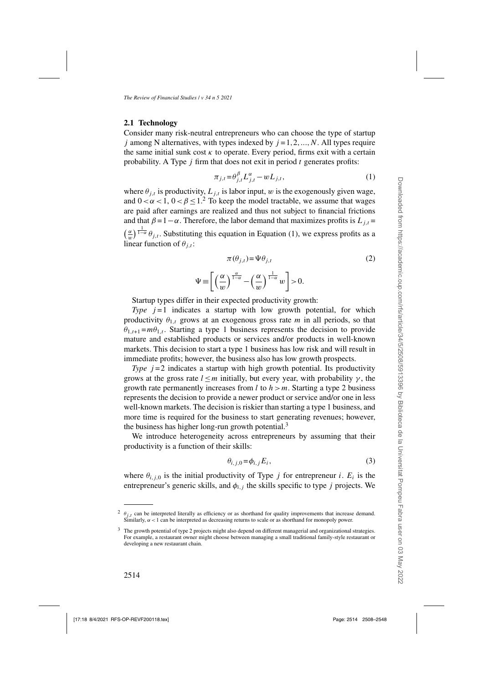#### **2.1 Technology**

Consider many risk-neutral entrepreneurs who can choose the type of startup *j* among N alternatives, with types indexed by *j* = 1*,*2*,...,N*. All types require the same initial sunk cost  $\kappa$  to operate. Every period, firms exit with a certain probability. A Type *j* firm that does not exit in period *t* generates profits:

$$
\pi_{j,t} = \theta_{j,t}^{\beta} L_{j,t}^{\alpha} - w L_{j,t},\tag{1}
$$

where  $\theta_{i,t}$  is productivity,  $L_{i,t}$  is labor input, *w* is the exogenously given wage, and  $0 < \alpha < 1$ ,  $0 < \beta \le 1$ .<sup>2</sup> To keep the model tractable, we assume that wages are paid after earnings are realized and thus not subject to financial frictions and that  $\beta = 1 - \alpha$ . Therefore, the labor demand that maximizes profits is  $L_{i,t}$  =  $\left(\frac{\alpha}{w}\right)^{\frac{1}{1-\alpha}}\theta_{j,t}$ . Substituting this equation in Equation (1), we express profits as a linear function of  $\theta_{i,t}$ :

$$
\pi(\theta_{j,t}) = \Psi \theta_{j,t} \tag{2}
$$

$$
\Psi \equiv \left[ \left( \frac{\alpha}{w} \right)^{\frac{\alpha}{1-\alpha}} - \left( \frac{\alpha}{w} \right)^{\frac{1}{1-\alpha}} w \right] > 0.
$$

Startup types differ in their expected productivity growth:

*Type*  $j = 1$  indicates a startup with low growth potential, for which productivity  $\theta_{1,t}$  grows at an exogenous gross rate *m* in all periods, so that  $\theta_{1,t+1} = m\theta_{1,t}$ . Starting a type 1 business represents the decision to provide mature and established products or services and/or products in well-known markets. This decision to start a type 1 business has low risk and will result in immediate profits; however, the business also has low growth prospects.

*Type*  $j = 2$  indicates a startup with high growth potential. Its productivity grows at the gross rate  $l \leq m$  initially, but every year, with probability  $\gamma$ , the growth rate permanently increases from *l* to  $h > m$ . Starting a type 2 business represents the decision to provide a newer product or service and/or one in less well-known markets. The decision is riskier than starting a type 1 business, and more time is required for the business to start generating revenues; however, the business has higher long-run growth potential.<sup>3</sup>

We introduce heterogeneity across entrepreneurs by assuming that their productivity is a function of their skills:

$$
\theta_{i,j,0} = \phi_{i,j} E_i, \tag{3}
$$

where  $\theta_{i,i,0}$  is the initial productivity of Type *j* for entrepreneur *i*.  $E_i$  is the entrepreneur's generic skills, and  $\phi_{i,j}$  the skills specific to type *j* projects. We

<sup>&</sup>lt;sup>2</sup>  $\theta_{j,t}$  can be interpreted literally as efficiency or as shorthand for quality improvements that increase demand. Similarly,  $\alpha$  < 1 can be interpreted as decreasing returns to scale or as shorthand for monopoly power.

<sup>&</sup>lt;sup>3</sup> The growth potential of type 2 projects might also depend on different managerial and organizational strategies. For example, a restaurant owner might choose between managing a small traditional family-style restaurant or developing a new restaurant chain.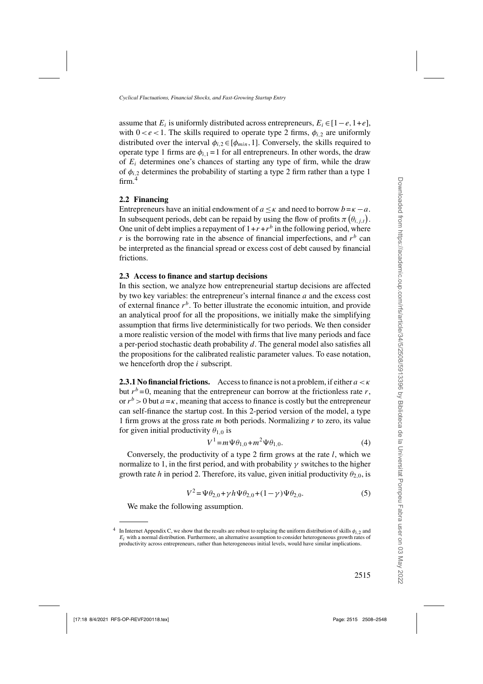<span id="page-7-0"></span>assume that  $E_i$  is uniformly distributed across entrepreneurs,  $E_i \in [1-e,1+e]$ , with  $0 < e < 1$ . The skills required to operate type 2 firms,  $\phi_{i,2}$  are uniformly distributed over the interval  $\phi_{i,2} \in [\phi_{min},1]$ . Conversely, the skills required to operate type 1 firms are  $\phi_{i,1} = 1$  for all entrepreneurs. In other words, the draw of *Ei* determines one's chances of starting any type of firm, while the draw of  $\phi_{i,2}$  determines the probability of starting a type 2 firm rather than a type 1 firm.<sup>4</sup>

# **2.2 Financing**

Entrepreneurs have an initial endowment of  $a \leq k$  and need to borrow  $b = k - a$ . In subsequent periods, debt can be repaid by using the flow of profits  $\pi(\theta_{i,j,t})$ . One unit of debt implies a repayment of  $1 + r + r^b$  in the following period, where *r* is the borrowing rate in the absence of financial imperfections, and  $r<sup>b</sup>$  can be interpreted as the financial spread or excess cost of debt caused by financial frictions.

# **2.3 Access to finance and startup decisions**

In this section, we analyze how entrepreneurial startup decisions are affected by two key variables: the entrepreneur's internal finance *a* and the excess cost of external finance  $r<sup>b</sup>$ . To better illustrate the economic intuition, and provide an analytical proof for all the propositions, we initially make the simplifying assumption that firms live deterministically for two periods. We then consider a more realistic version of the model with firms that live many periods and face a per-period stochastic death probability *d*. The general model also satisfies all the propositions for the calibrated realistic parameter values. To ease notation, we henceforth drop the *i* subscript.

**2.3.1 No financial frictions.** Access to finance is not a problem, if either *a<κ* but  $r^b = 0$ , meaning that the entrepreneur can borrow at the frictionless rate *r*, or  $r^b > 0$  but  $a = \kappa$ , meaning that access to finance is costly but the entrepreneur can self-finance the startup cost. In this 2-period version of the model, a type 1 firm grows at the gross rate *m* both periods. Normalizing *r* to zero, its value for given initial productivity  $\theta_{1,0}$  is

$$
V^{1} = m\Psi\theta_{1,0} + m^{2}\Psi\theta_{1,0}.
$$
 (4)

Conversely, the productivity of a type 2 firm grows at the rate *l*, which we normalize to 1, in the first period, and with probability  $\gamma$  switches to the higher growth rate *h* in period 2. Therefore, its value, given initial productivity  $\theta_{2,0}$ , is

$$
V^{2} = \Psi \theta_{2,0} + \gamma h \Psi \theta_{2,0} + (1 - \gamma) \Psi \theta_{2,0}.
$$
 (5)

We make the following assumption.

<sup>&</sup>lt;sup>4</sup> In [Internet Appendix C,](https://academic.oup.com/rfs/article-lookup/doi/10.1093/rfs/hhaa112#supplementary-data) we show that the results are robust to replacing the uniform distribution of skills  $\phi_{i,2}$  and *Ei* with a normal distribution. Furthermore, an alternative assumption to consider heterogeneous growth rates of productivity across entrepreneurs, rather than heterogeneous initial levels, would have similar implications.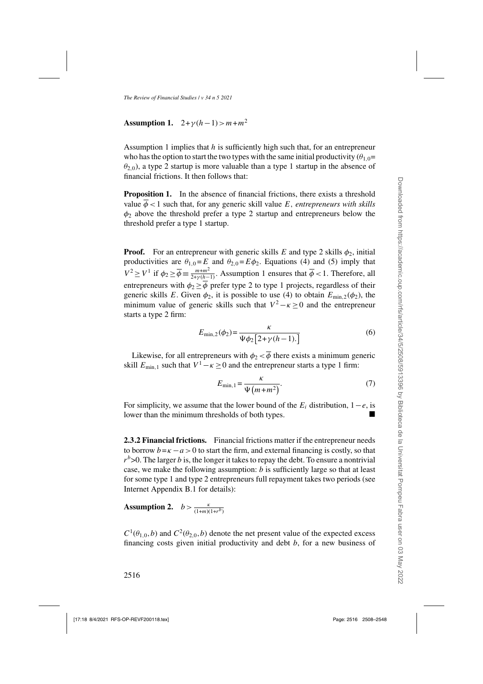# **Assumption 1.**  $2 + \gamma (h-1) > m + m^2$

Assumption 1 implies that *h* is sufficiently high such that, for an entrepreneur who has the option to start the two types with the same initial productivity  $(\theta_{1,0}$ = *θ*2*,*0), a type 2 startup is more valuable than a type 1 startup in the absence of financial frictions. It then follows that:

**Proposition 1.** In the absence of financial frictions, there exists a threshold value  $\overline{\phi}$  < 1 such that, for any generic skill value *E*, *entrepreneurs with skills φ*<sup>2</sup> above the threshold prefer a type 2 startup and entrepreneurs below the threshold prefer a type 1 startup.

**Proof.** For an entrepreneur with generic skills *E* and type 2 skills  $\phi_2$ , initial productivities are  $\theta_{1,0} = E$  and  $\theta_{2,0} = E\phi_2$ . Equations [\(4\)](#page-7-0) and [\(5\)](#page-7-0) imply that  $V^2 \ge V^1$  if  $\phi_2 \ge \overline{\phi} \equiv \frac{m+m^2}{2+\gamma(h-1)}$ . Assumption 1 ensures that  $\overline{\phi} < 1$ . Therefore, all entrepreneurs with  $\phi_2 \geq \overline{\phi}$  prefer type 2 to type 1 projects, regardless of their generic skills *E*. Given  $\phi_2$ , it is possible to use [\(4\)](#page-7-0) to obtain  $E_{\min 2}(\phi_2)$ , the minimum value of generic skills such that  $V^2 - \kappa > 0$  and the entrepreneur starts a type 2 firm:

$$
E_{\min,2}(\phi_2) = \frac{\kappa}{\Psi \phi_2 \left[2 + \gamma (h-1). \right]}
$$
(6)

Likewise, for all entrepreneurs with  $\phi_2 < \phi$  there exists a minimum generic skill  $E_{\text{min},1}$  such that  $V^1 - \kappa \ge 0$  and the entrepreneur starts a type 1 firm:

$$
E_{\min,1} = \frac{\kappa}{\Psi\left(m + m^2\right)}.\tag{7}
$$

For simplicity, we assume that the lower bound of the  $E_i$  distribution,  $1 - e$ , is lower than the minimum thresholds of both types lower than the minimum thresholds of both types.

**2.3.2 Financial frictions.** Financial frictions matter if the entrepreneur needs to borrow  $b = \kappa - a > 0$  to start the firm, and external financing is costly, so that  $r<sup>b</sup>$ >0. The larger *b* is, the longer it takes to repay the debt. To ensure a nontrivial case, we make the following assumption: *b* is sufficiently large so that at least for some type 1 and type 2 entrepreneurs full repayment takes two periods (see [Internet Appendix B.1](https://academic.oup.com/rfs/article-lookup/doi/10.1093/rfs/hhaa112#supplementary-data) for details):

**Assumption 2.**  $b > \frac{\kappa}{(1+m)(1+r^b)}$ 

 $C^1(\theta_{1,0},b)$  and  $C^2(\theta_{2,0},b)$  denote the net present value of the expected excess financing costs given initial productivity and debt *b*, for a new business of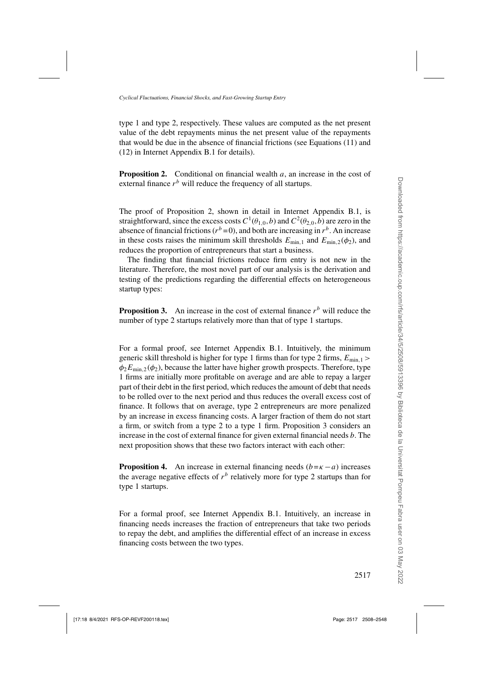type 1 and type 2, respectively. These values are computed as the net present value of the debt repayments minus the net present value of the repayments that would be due in the absence of financial frictions (see Equations (11) and (12) in [Internet Appendix B.1](https://academic.oup.com/rfs/article-lookup/doi/10.1093/rfs/hhaa112#supplementary-data) for details).

**Proposition 2.** Conditional on financial wealth *a*, an increase in the cost of external finance  $r^b$  will reduce the frequency of all startups.

The proof of Proposition 2, shown in detail in [Internet Appendix B.1,](https://academic.oup.com/rfs/article-lookup/doi/10.1093/rfs/hhaa112#supplementary-data) is straightforward, since the excess costs  $C^1(\theta_{1,0},b)$  and  $C^2(\theta_{2,0},b)$  are zero in the absence of financial frictions ( $r^b$  = 0), and both are increasing in  $r^b$ . An increase in these costs raises the minimum skill thresholds  $E_{\text{min 1}}$  and  $E_{\text{min 2}}(\phi_2)$ , and reduces the proportion of entrepreneurs that start a business.

The finding that financial frictions reduce firm entry is not new in the literature. Therefore, the most novel part of our analysis is the derivation and testing of the predictions regarding the differential effects on heterogeneous startup types:

**Proposition 3.** An increase in the cost of external finance  $r^b$  will reduce the number of type 2 startups relatively more than that of type 1 startups.

For a formal proof, see [Internet Appendix B.1.](https://academic.oup.com/rfs/article-lookup/doi/10.1093/rfs/hhaa112#supplementary-data) Intuitively, the minimum generic skill threshold is higher for type 1 firms than for type 2 firms, *E*min*,*<sup>1</sup> *>*  $\phi_2 E_{\text{min},2}(\phi_2)$ , because the latter have higher growth prospects. Therefore, type 1 firms are initially more profitable on average and are able to repay a larger part of their debt in the first period, which reduces the amount of debt that needs to be rolled over to the next period and thus reduces the overall excess cost of finance. It follows that on average, type 2 entrepreneurs are more penalized by an increase in excess financing costs. A larger fraction of them do not start a firm, or switch from a type 2 to a type 1 firm. Proposition 3 considers an increase in the cost of external finance for given external financial needs *b*. The next proposition shows that these two factors interact with each other:

**Proposition 4.** An increase in external financing needs  $(b = k - a)$  increases the average negative effects of  $r<sup>b</sup>$  relatively more for type 2 startups than for type 1 startups.

For a formal proof, see [Internet Appendix B.1.](https://academic.oup.com/rfs/article-lookup/doi/10.1093/rfs/hhaa112#supplementary-data) Intuitively, an increase in financing needs increases the fraction of entrepreneurs that take two periods to repay the debt, and amplifies the differential effect of an increase in excess financing costs between the two types.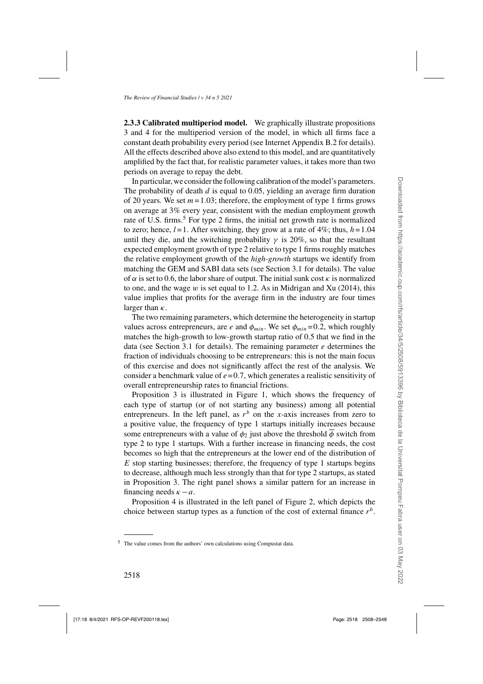**2.3.3 Calibrated multiperiod model.** We graphically illustrate propositions 3 and 4 for the multiperiod version of the model, in which all firms face a constant death probability every period (see [Internet Appendix B.2](https://academic.oup.com/rfs/article-lookup/doi/10.1093/rfs/hhaa112#supplementary-data) for details). All the effects described above also extend to this model, and are quantitatively amplified by the fact that, for realistic parameter values, it takes more than two periods on average to repay the debt.

In particular, we consider the following calibration of the model's parameters. The probability of death *d* is equal to 0.05, yielding an average firm duration of 20 years. We set  $m = 1.03$ ; therefore, the employment of type 1 firms grows on average at 3% every year, consistent with the median employment growth rate of U.S. firms.<sup>5</sup> For type 2 firms, the initial net growth rate is normalized to zero; hence,  $l = 1$ . After switching, they grow at a rate of  $4\%$ ; thus,  $h = 1.04$ until they die, and the switching probability  $\gamma$  is 20%, so that the resultant expected employment growth of type 2 relative to type 1 firms roughly matches the relative employment growth of the *high-growth* startups we identify from matching the GEM and SABI data sets (see Section [3.1](#page-13-0) for details). The value of  $\alpha$  is set to 0.6, the labor share of output. The initial sunk cost  $\kappa$  is normalized to one, and the wage *w* is set equal to 1.2. As in [Midrigan and Xu](#page-40-0) [\(2014\)](#page-40-0), this value implies that profits for the average firm in the industry are four times larger than *κ*.

The two remaining parameters, which determine the heterogeneity in startup values across entrepreneurs, are *e* and  $\phi_{min}$ . We set  $\phi_{min} = 0.2$ , which roughly matches the high-growth to low-growth startup ratio of 0.5 that we find in the data (see Section [3.1](#page-13-0) for details). The remaining parameter *e* determines the fraction of individuals choosing to be entrepreneurs: this is not the main focus of this exercise and does not significantly affect the rest of the analysis. We consider a benchmark value of *e*= 0*.*7, which generates a realistic sensitivity of overall entrepreneurship rates to financial frictions.

Proposition 3 is illustrated in Figure [1,](#page-11-0) which shows the frequency of each type of startup (or of not starting any business) among all potential entrepreneurs. In the left panel, as  $r<sup>b</sup>$  on the *x*-axis increases from zero to a positive value, the frequency of type 1 startups initially increases because some entrepreneurs with a value of  $\phi_2$  just above the threshold  $\overline{\phi}$  switch from type 2 to type 1 startups. With a further increase in financing needs, the cost becomes so high that the entrepreneurs at the lower end of the distribution of *E* stop starting businesses; therefore, the frequency of type 1 startups begins to decrease, although much less strongly than that for type 2 startups, as stated in Proposition 3. The right panel shows a similar pattern for an increase in financing needs  $\kappa - a$ .

Proposition 4 is illustrated in the left panel of Figure [2,](#page-11-0) which depicts the choice between startup types as a function of the cost of external finance *r<sup>b</sup>*.

<sup>5</sup> The value comes from the authors' own calculations using Compustat data.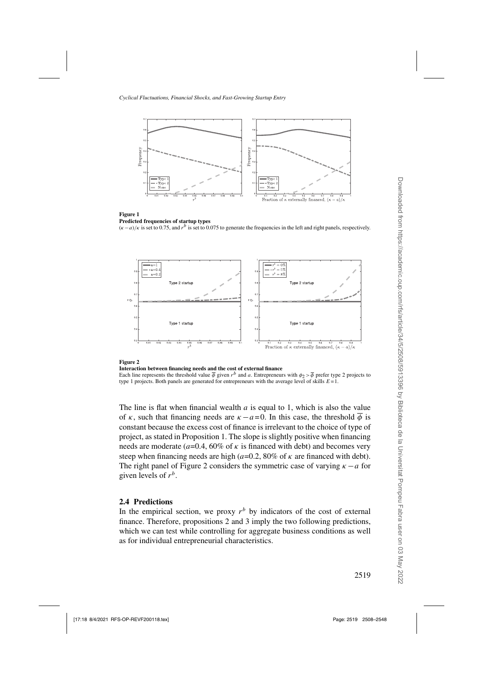<span id="page-11-0"></span>

**Figure 1**

**Predicted frequencies of startup types**  $(\kappa - a)/\kappa$  is set to 0.75, and  $r^b$  is set to 0.075 to generate the frequencies in the left and right panels, respectively.



**Figure 2**

**Interaction between financing needs and the cost of external finance**

Each line represents the threshold value  $\overline{\phi}$  given  $r^b$  and a. Entrepreneurs with  $\phi_2 > \overline{\phi}$  prefer type 2 projects to type 1 projects. Both panels are generated for entrepreneurs with the average level of skills  $E = 1$ .

The line is flat when financial wealth  $a$  is equal to 1, which is also the value of *κ*, such that financing needs are  $\kappa - a = 0$ . In this case, the threshold  $\phi$  is constant because the excess cost of finance is irrelevant to the choice of type of project, as stated in Proposition 1. The slope is slightly positive when financing needs are moderate ( $a=0.4$ ,  $60\%$  of  $\kappa$  is financed with debt) and becomes very steep when financing needs are high (*a*=0.2, 80% of *κ* are financed with debt). The right panel of Figure 2 considers the symmetric case of varying  $\kappa - a$  for given levels of *r<sup>b</sup>*.

# **2.4 Predictions**

In the empirical section, we proxy  $r^b$  by indicators of the cost of external finance. Therefore, propositions 2 and 3 imply the two following predictions, which we can test while controlling for aggregate business conditions as well as for individual entrepreneurial characteristics.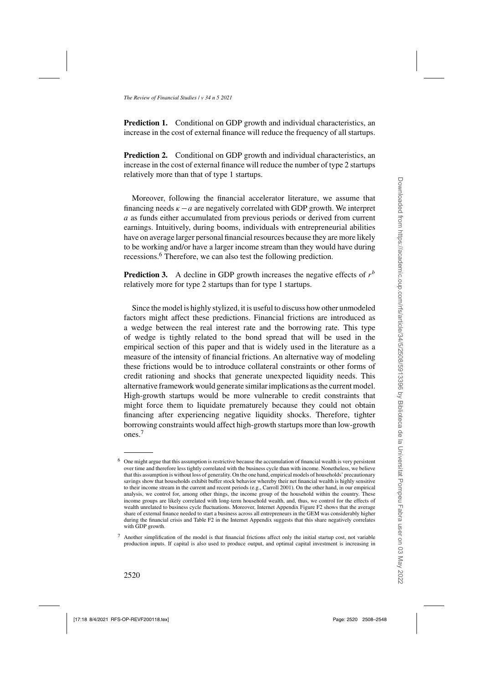**Prediction 1.** Conditional on GDP growth and individual characteristics, an increase in the cost of external finance will reduce the frequency of all startups.

**Prediction 2.** Conditional on GDP growth and individual characteristics, an increase in the cost of external finance will reduce the number of type 2 startups relatively more than that of type 1 startups.

Moreover, following the financial accelerator literature, we assume that financing needs  $\kappa - a$  are negatively correlated with GDP growth. We interpret *a* as funds either accumulated from previous periods or derived from current earnings. Intuitively, during booms, individuals with entrepreneurial abilities have on average larger personal financial resources because they are more likely to be working and/or have a larger income stream than they would have during recessions.<sup>6</sup> Therefore, we can also test the following prediction.

**Prediction 3.** A decline in GDP growth increases the negative effects of  $r<sup>b</sup>$ relatively more for type 2 startups than for type 1 startups.

Since the model is highly stylized, it is useful to discuss how other unmodeled factors might affect these predictions. Financial frictions are introduced as a wedge between the real interest rate and the borrowing rate. This type of wedge is tightly related to the bond spread that will be used in the empirical section of this paper and that is widely used in the literature as a measure of the intensity of financial frictions. An alternative way of modeling these frictions would be to introduce collateral constraints or other forms of credit rationing and shocks that generate unexpected liquidity needs. This alternative framework would generate similar implications as the current model. High-growth startups would be more vulnerable to credit constraints that might force them to liquidate prematurely because they could not obtain financing after experiencing negative liquidity shocks. Therefore, tighter borrowing constraints would affect high-growth startups more than low-growth ones.<sup>7</sup>

<sup>6</sup> One might argue that this assumption is restrictive because the accumulation of financial wealth is very persistent over time and therefore less tightly correlated with the business cycle than with income. Nonetheless, we believe that this assumption is without loss of generality. On the one hand, empirical models of households' precautionary savings show that households exhibit buffer stock behavior whereby their net financial wealth is highly sensitive to their income stream in the current and recent periods (e.g., [Carroll 2001\)](#page-39-0). On the other hand, in our empirical analysis, we control for, among other things, the income group of the household within the country. These income groups are likely correlated with long-term household wealth, and, thus, we control for the effects of wealth unrelated to business cycle fluctuations. Moreover, [Internet Appendix Figure F2](https://academic.oup.com/rfs/article-lookup/doi/10.1093/rfs/hhaa112#supplementary-data) shows that the average share of external finance needed to start a business across all entrepreneurs in the GEM was considerably higher during the financial crisis and [Table F2](https://academic.oup.com/rfs/article-lookup/doi/10.1093/rfs/hhaa112#supplementary-data) in the [Internet Appendix](https://academic.oup.com/rfs/article-lookup/doi/10.1093/rfs/hhaa112#supplementary-data) suggests that this share negatively correlates with GDP growth.

<sup>7</sup> Another simplification of the model is that financial frictions affect only the initial startup cost, not variable production inputs. If capital is also used to produce output, and optimal capital investment is increasing in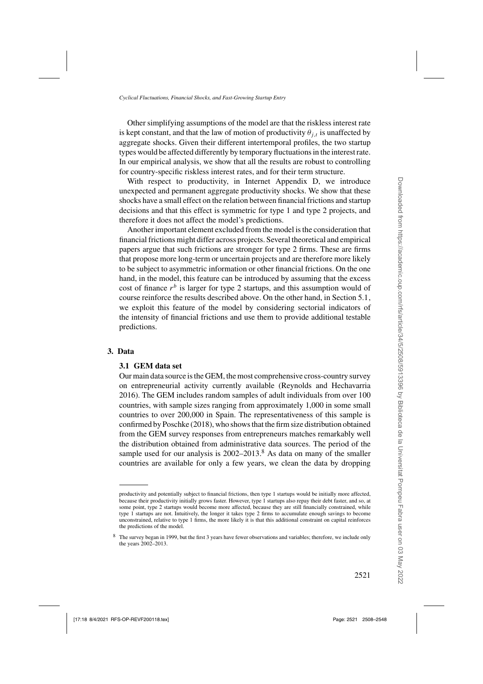<span id="page-13-0"></span>Other simplifying assumptions of the model are that the riskless interest rate is kept constant, and that the law of motion of productivity  $\theta_{i,t}$  is unaffected by aggregate shocks. Given their different intertemporal profiles, the two startup types would be affected differently by temporary fluctuations in the interest rate. In our empirical analysis, we show that all the results are robust to controlling for country-specific riskless interest rates, and for their term structure.

With respect to productivity, in [Internet Appendix D,](https://academic.oup.com/rfs/article-lookup/doi/10.1093/rfs/hhaa112#supplementary-data) we introduce unexpected and permanent aggregate productivity shocks. We show that these shocks have a small effect on the relation between financial frictions and startup decisions and that this effect is symmetric for type 1 and type 2 projects, and therefore it does not affect the model's predictions.

Another important element excluded from the model is the consideration that financial frictions might differ across projects. Several theoretical and empirical papers argue that such frictions are stronger for type 2 firms. These are firms that propose more long-term or uncertain projects and are therefore more likely to be subject to asymmetric information or other financial frictions. On the one hand, in the model, this feature can be introduced by assuming that the excess cost of finance  $r^b$  is larger for type 2 startups, and this assumption would of course reinforce the results described above. On the other hand, in Section [5.1,](#page-30-0) we exploit this feature of the model by considering sectorial indicators of the intensity of financial frictions and use them to provide additional testable predictions.

### **3. Data**

# **3.1 GEM data set**

Our main data source is the GEM, the most comprehensive cross-country survey on entrepreneurial activity currently available [\(Reynolds and Hechavarria](#page-40-0) [2016\)](#page-40-0). The GEM includes random samples of adult individuals from over 100 countries, with sample sizes ranging from approximately 1,000 in some small countries to over 200,000 in Spain. The representativeness of this sample is confirmed by [Poschke](#page-40-0) [\(2018\)](#page-40-0), who shows that the firm size distribution obtained from the GEM survey responses from entrepreneurs matches remarkably well the distribution obtained from administrative data sources. The period of the sample used for our analysis is  $2002-2013$ .<sup>8</sup> As data on many of the smaller countries are available for only a few years, we clean the data by dropping

productivity and potentially subject to financial frictions, then type 1 startups would be initially more affected, because their productivity initially grows faster. However, type 1 startups also repay their debt faster, and so, at some point, type 2 startups would become more affected, because they are still financially constrained, while type 1 startups are not. Intuitively, the longer it takes type 2 firms to accumulate enough savings to become unconstrained, relative to type 1 firms, the more likely it is that this additional constraint on capital reinforces the predictions of the model.

<sup>8</sup> The survey began in 1999, but the first 3 years have fewer observations and variables; therefore, we include only the years 2002–2013.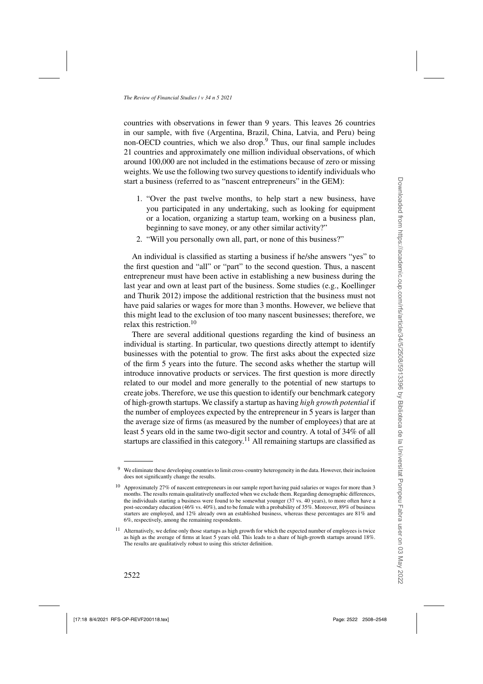countries with observations in fewer than 9 years. This leaves 26 countries in our sample, with five (Argentina, Brazil, China, Latvia, and Peru) being non-OECD countries, which we also drop.<sup>9</sup> Thus, our final sample includes 21 countries and approximately one million individual observations, of which around 100,000 are not included in the estimations because of zero or missing weights. We use the following two survey questions to identify individuals who start a business (referred to as "nascent entrepreneurs" in the GEM):

- 1. "Over the past twelve months, to help start a new business, have you participated in any undertaking, such as looking for equipment or a location, organizing a startup team, working on a business plan, beginning to save money, or any other similar activity?"
- 2. "Will you personally own all, part, or none of this business?"

An individual is classified as starting a business if he/she answers "yes" to the first question and "all" or "part" to the second question. Thus, a nascent entrepreneur must have been active in establishing a new business during the last year a[nd own at least part of the business. Some studies \(e.g.,](#page-39-0) Koellinger and Thurik [2012](#page-39-0)) impose the additional restriction that the business must not have paid salaries or wages for more than 3 months. However, we believe that this might lead to the exclusion of too many nascent businesses; therefore, we relax this restriction.<sup>10</sup>

There are several additional questions regarding the kind of business an individual is starting. In particular, two questions directly attempt to identify businesses with the potential to grow. The first asks about the expected size of the firm 5 years into the future. The second asks whether the startup will introduce innovative products or services. The first question is more directly related to our model and more generally to the potential of new startups to create jobs. Therefore, we use this question to identify our benchmark category of high-growth startups. We classify a startup as having *high growth potential* if the number of employees expected by the entrepreneur in 5 years is larger than the average size of firms (as measured by the number of employees) that are at least 5 years old in the same two-digit sector and country. A total of 34% of all startups are classified in this category.<sup>11</sup> All remaining startups are classified as

<sup>9</sup> We eliminate these developing countries to limit cross-country heterogeneity in the data. However, their inclusion does not significantly change the results.

<sup>&</sup>lt;sup>10</sup> Approximately 27% of nascent entrepreneurs in our sample report having paid salaries or wages for more than 3 months. The results remain qualitatively unaffected when we exclude them. Regarding demographic differences, the individuals starting a business were found to be somewhat younger (37 vs. 40 years), to more often have a post-secondary education (46% vs. 40%), and to be female with a probability of 35%. Moreover, 89% of business starters are employed, and 12% already own an established business, whereas these percentages are 81% and 6%, respectively, among the remaining respondents.

<sup>&</sup>lt;sup>11</sup> Alternatively, we define only those startups as high growth for which the expected number of employees is twice as high as the average of firms at least 5 years old. This leads to a share of high-growth startups around 18%. The results are qualitatively robust to using this stricter definition.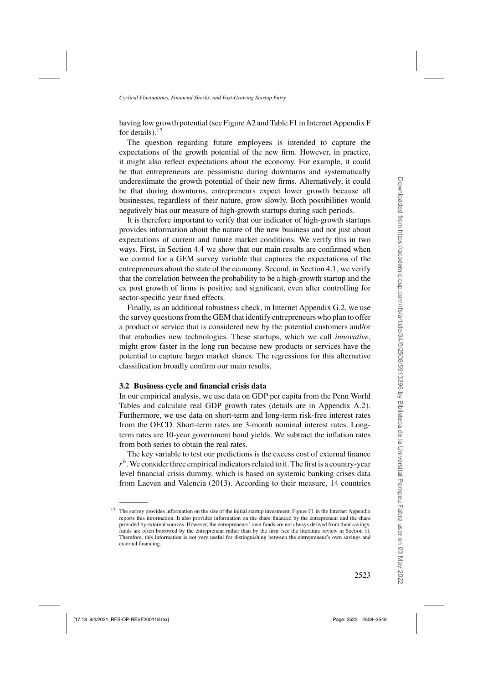<span id="page-15-0"></span>having low growth potential (see Figure [A2](#page-11-0) and [Table F1](https://academic.oup.com/rfs/article-lookup/doi/10.1093/rfs/hhaa112#supplementary-data) in [Internet Appendix F](https://academic.oup.com/rfs/article-lookup/doi/10.1093/rfs/hhaa112#supplementary-data) for details). $^{12}$ 

The question regarding future employees is intended to capture the expectations of the growth potential of the new firm. However, in practice, it might also reflect expectations about the economy. For example, it could be that entrepreneurs are pessimistic during downturns and systematically underestimate the growth potential of their new firms. Alternatively, it could be that during downturns, entrepreneurs expect lower growth because all businesses, regardless of their nature, grow slowly. Both possibilities would negatively bias our measure of high-growth startups during such periods.

It is therefore important to verify that our indicator of high-growth startups provides information about the nature of the new business and not just about expectations of current and future market conditions. We verify this in two ways. First, in Section [4.4](#page-26-0) we show that our main results are confirmed when we control for a GEM survey variable that captures the expectations of the entrepreneurs about the state of the economy. Second, in Section [4.1,](#page-17-0) we verify that the correlation between the probability to be a high-growth startup and the ex post growth of firms is positive and significant, even after controlling for sector-specific year fixed effects.

Finally, as an additional robustness check, in [Internet Appendix G.2,](https://academic.oup.com/rfs/article-lookup/doi/10.1093/rfs/hhaa112#supplementary-data) we use the survey questions from the GEM that identify entrepreneurs who plan to offer a product or service that is considered new by the potential customers and/or that embodies new technologies. These startups, which we call *innovative*, might grow faster in the long run because new products or services have the potential to capture larger market shares. The regressions for this alternative classification broadly confirm our main results.

# **3.2 Business cycle and financial crisis data**

In our empirical analysis, we use data on GDP per capita from the Penn World Tables and calculate real GDP growth rates (details are in Appendix [A.2\)](#page-35-0). Furthermore, we use data on short-term and long-term risk-free interest rates from the OECD. Short-term rates are 3-month nominal interest rates. Longterm rates are 10-year government bond yields. We subtract the inflation rates from both series to obtain the real rates.

The key variable to test our predictions is the excess cost of external finance  $r<sup>b</sup>$ . We consider three empirical indicators related to it. The first is a country-year level financial crisis dummy, which is based on systemic banking crises data from [Laeven and Valencia](#page-40-0) [\(2013](#page-40-0)). According to their measure, 14 countries

<sup>12</sup> The survey provides information on the size of the initial startup investment. [Figure F1](https://academic.oup.com/rfs/article-lookup/doi/10.1093/rfs/hhaa112#supplementary-data) in the [Internet Appendix](https://academic.oup.com/rfs/article-lookup/doi/10.1093/rfs/hhaa112#supplementary-data) reports this information. It also provides information on the share financed by the entrepreneur and the share provided by external sources. However, the entrepreneurs' own funds are not always derived from their savings: funds are often borrowed by the entrepreneur rather than by the firm (see the literature review in Section [1\)](#page-3-0). Therefore, this information is not very useful for distinguishing between the entrepreneur's own savings and external financing.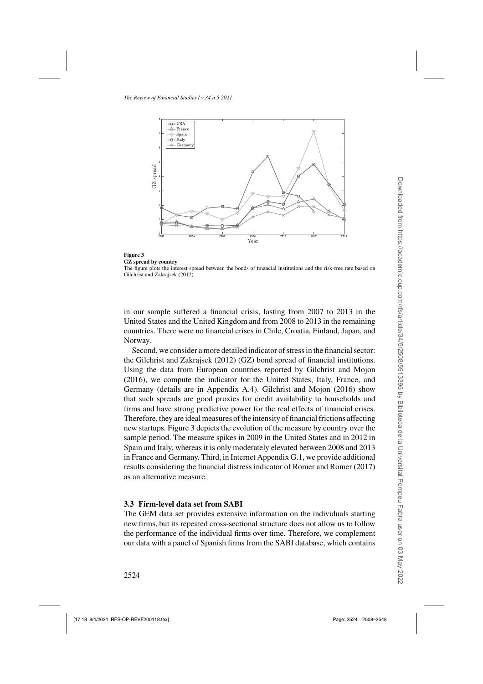

#### **Figure 3**

#### **GZ spread by country**

The figure plots the interest spread between the bonds of financial institutions and the risk-free rate based on [Gilchrist and Zakrajsek](#page-39-0) [\(2012\)](#page-39-0).

in our sample suffered a financial crisis, lasting from 2007 to 2013 in the United States and the United Kingdom and from 2008 to 2013 in the remaining countries. There were no financial crises in Chile, Croatia, Finland, Japan, and Norway.

Second, we consider a more detailed indicator of stress in the financial sector: the [Gilchrist and Zakrajsek](#page-39-0) [\(2012](#page-39-0)) (GZ) bond spread of financial institutions. Using the data from European countries reported by Gilchrist and Mojon (2016), we compute the indicator for the United States, Italy, France, and Germany (details are in Appendix [A.4\)](#page-36-0). Gilchrist and Mojon (2016) show that such spreads are good proxies for credit availability to households and firms and have strong predictive power for the real effects of financial crises. Therefore, they are ideal measures of the intensity of financial frictions affecting new startups. Figure 3 depicts the evolution of the measure by country over the sample period. The measure spikes in 2009 in the United States and in 2012 in Spain and Italy, whereas it is only moderately elevated between 2008 and 2013 in France and Germany. Third, in [Internet Appendix G.1,](https://academic.oup.com/rfs/article-lookup/doi/10.1093/rfs/hhaa112#supplementary-data) we provide additional results considering the financial distress indicator of [Romer and Romer](#page-40-0) [\(2017\)](#page-40-0) as an alternative measure.

# **3.3 Firm-level data set from SABI**

The GEM data set provides extensive information on the individuals starting new firms, but its repeated cross-sectional structure does not allow us to follow the performance of the individual firms over time. Therefore, we complement our data with a panel of Spanish firms from the SABI database, which contains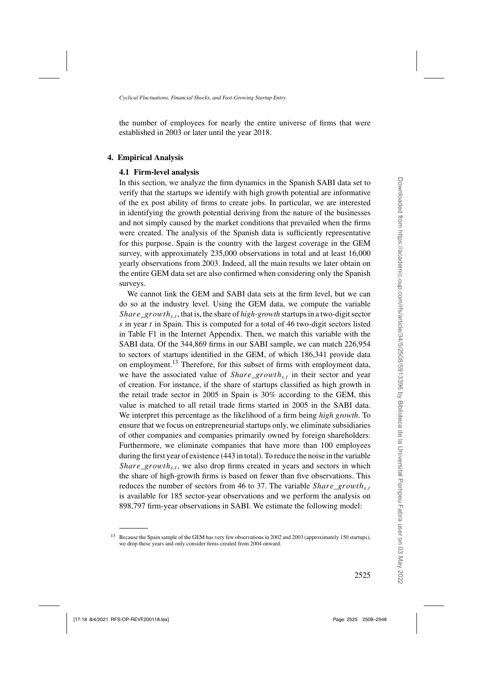<span id="page-17-0"></span>the number of employees for nearly the entire universe of firms that were established in 2003 or later until the year 2018.

# **4. Empirical Analysis**

# **4.1 Firm-level analysis**

In this section, we analyze the firm dynamics in the Spanish SABI data set to verify that the startups we identify with high growth potential are informative of the ex post ability of firms to create jobs. In particular, we are interested in identifying the growth potential deriving from the nature of the businesses and not simply caused by the market conditions that prevailed when the firms were created. The analysis of the Spanish data is sufficiently representative for this purpose. Spain is the country with the largest coverage in the GEM survey, with approximately 235,000 observations in total and at least 16,000 yearly observations from 2003. Indeed, all the main results we later obtain on the entire GEM data set are also confirmed when considering only the Spanish surveys.

We cannot link the GEM and SABI data sets at the firm level, but we can do so at the industry level. Using the GEM data, we compute the variable *Share*\_*growths,t* , that is, the share of *high-growth* startups in a two-digit sector *s* in year *t* in Spain. This is computed for a total of 46 two-digit sectors listed in [Table F1](https://academic.oup.com/rfs/article-lookup/doi/10.1093/rfs/hhaa112#supplementary-data) in the [Internet Appendix.](https://academic.oup.com/rfs/article-lookup/doi/10.1093/rfs/hhaa112#supplementary-data) Then, we match this variable with the SABI data. Of the 344,869 firms in our SABI sample, we can match 226,954 to sectors of startups identified in the GEM, of which 186,341 provide data on employment.13 Therefore, for this subset of firms with employment data, we have the associated value of *Share*\_*growths,t* in their sector and year of creation. For instance, if the share of startups classified as high growth in the retail trade sector in 2005 in Spain is 30% according to the GEM, this value is matched to all retail trade firms started in 2005 in the SABI data. We interpret this percentage as the likelihood of a firm being *high growth*. To ensure that we focus on entrepreneurial startups only, we eliminate subsidiaries of other companies and companies primarily owned by foreign shareholders. Furthermore, we eliminate companies that have more than 100 employees during the first year of existence (443 in total). To reduce the noise in the variable *Share\_growth<sub>s,t</sub>*, we also drop firms created in years and sectors in which the share of high-growth firms is based on fewer than five observations. This reduces the number of sectors from 46 to 37. The variable *Share*\_*growths,t* is available for 185 sector-year observations and we perform the analysis on 898,797 firm-year observations in SABI. We estimate the following model:

<sup>13</sup> Because the Spain sample of the GEM has very few observations in 2002 and 2003 (approximately 150 startups), we drop these years and only consider firms created from 2004 onward.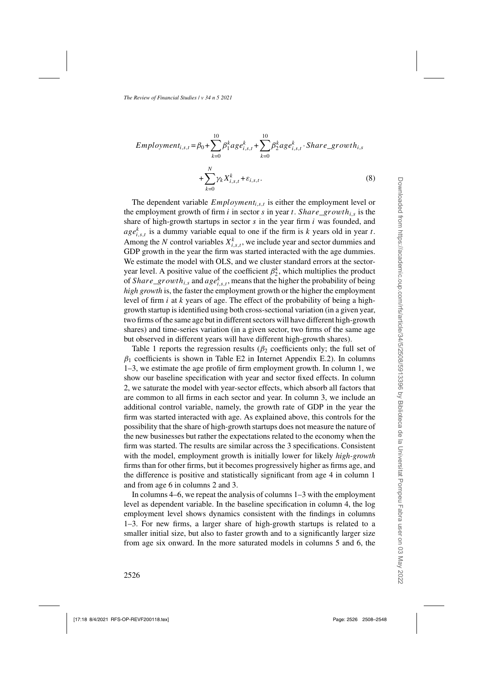$$
Employment_{i,s,t} = \beta_0 + \sum_{k=0}^{10} \beta_1^k age_{i,s,t}^k + \sum_{k=0}^{10} \beta_2^k age_{i,s,t}^k \cdot Share\_growth_{i,s} + \sum_{k=0}^{N} \gamma_k X_{i,s,t}^k + \varepsilon_{i,s,t}.
$$
\n(8)

The dependent variable *Employment<sub>i.s,t</sub>* is either the employment level or the employment growth of firm *i* in sector *s* in year *t*. *Share* growth<sub>is</sub>, is the share of high-growth startups in sector *s* in the year firm *i* was founded, and  $age_{i,s,t}^k$  is a dummy variable equal to one if the firm is *k* years old in year *t*. Among the *N* control variables  $X_{i,s,t}^k$ , we include year and sector dummies and GDP growth in the year the firm was started interacted with the age dummies. We estimate the model with OLS, and we cluster standard errors at the sectoryear level. A positive value of the coefficient  $\beta_2^k$ , which multiplies the product of *Share*\_*growthi,s* and *age<sup>k</sup> i,s,t* , means that the higher the probability of being *high growth* is, the faster the employment growth or the higher the employment level of firm *i* at *k* years of age. The effect of the probability of being a highgrowth startup is identified using both cross-sectional variation (in a given year, two firms of the same age but in different sectors will have different high-growth shares) and time-series variation (in a given sector, two firms of the same age but observed in different years will have different high-growth shares).

Table [1](#page-19-0) reports the regression results  $(\beta_2)$  coefficients only; the full set of  $\beta_1$  coefficients is shown in [Table E2](https://academic.oup.com/rfs/article-lookup/doi/10.1093/rfs/hhaa112#supplementary-data) in [Internet Appendix E.2\)](https://academic.oup.com/rfs/article-lookup/doi/10.1093/rfs/hhaa112#supplementary-data). In columns 1–3, we estimate the age profile of firm employment growth. In column 1, we show our baseline specification with year and sector fixed effects. In column 2, we saturate the model with year-sector effects, which absorb all factors that are common to all firms in each sector and year. In column 3, we include an additional control variable, namely, the growth rate of GDP in the year the firm was started interacted with age. As explained above, this controls for the possibility that the share of high-growth startups does not measure the nature of the new businesses but rather the expectations related to the economy when the firm was started. The results are similar across the 3 specifications. Consistent with the model, employment growth is initially lower for likely *high-growth* firms than for other firms, but it becomes progressively higher as firms age, and the difference is positive and statistically significant from age 4 in column 1 and from age 6 in columns 2 and 3.

In columns 4–6, we repeat the analysis of columns 1–3 with the employment level as dependent variable. In the baseline specification in column 4, the log employment level shows dynamics consistent with the findings in columns 1–3. For new firms, a larger share of high-growth startups is related to a smaller initial size, but also to faster growth and to a significantly larger size from age six onward. In the more saturated models in columns 5 and 6, the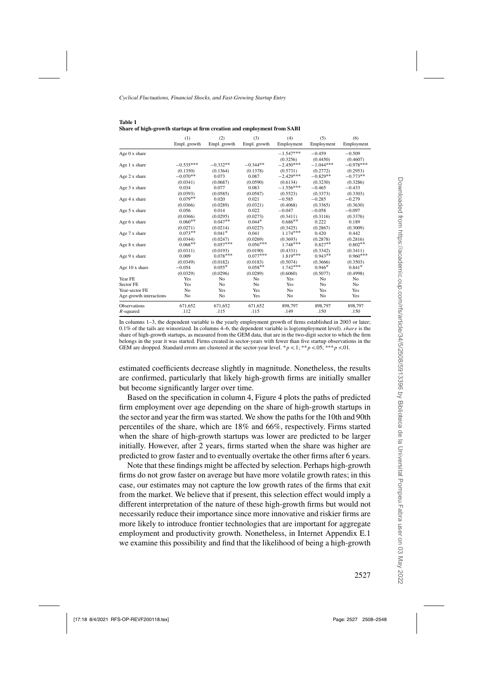|                         | (1)          | (2)            | (3)          | (4)                     | (5)                  | (6)                  |
|-------------------------|--------------|----------------|--------------|-------------------------|----------------------|----------------------|
|                         | Empl. growth | Empl. growth   | Empl. growth | Employment              | Employment           | Employment           |
| Age 0 x share           |              |                |              | $-1.547***$<br>(0.3256) | $-0.459$<br>(0.4450) | $-0.509$<br>(0.4607) |
| Age 1 x share           | $-0.535***$  | $-0.332**$     | $-0.344**$   | $-2.450***$             | $-1.044***$          | $-0.978***$          |
|                         | (0.1350)     | (0.1364)       | (0.1378)     | (0.5731)                | (0.2772)             | (0.2953)             |
| Age 2 x share           | $-0.070**$   | 0.073          | 0.087        | $-2.429***$             | $-0.829**$           | $-0.773**$           |
|                         | (0.0341)     | (0.0687)       | (0.0590)     | (0.6134)                | (0.3230)             | (0.3286)             |
| Age 3 x share           | 0.034        | 0.077          | 0.083        | $-1.556***$             | $-0.465$             | $-0.433$             |
|                         | (0.0393)     | (0.0585)       | (0.0587)     | (0.5523)                | (0.3373)             | (0.3303)             |
| Age 4 x share           | $0.079**$    | 0.020          | 0.021        | $-0.585$                | $-0.285$             | $-0.279$             |
|                         | (0.0366)     | (0.0289)       | (0.0321)     | (0.4068)                | (0.3365)             | (0.3630)             |
| Age 5 x share           | 0.056        | 0.014          | 0.022        | $-0.047$                | $-0.058$             | $-0.097$             |
|                         | (0.0366)     | (0.0295)       | (0.0273)     | (0.3411)                | (0.3116)             | (0.3376)             |
| Age 6 x share           | $0.060**$    | $0.047**$      | $0.044*$     | $0.686**$               | 0.222                | 0.189                |
|                         | (0.0271)     | (0.0214)       | (0.0227)     | (0.3425)                | (0.2867)             | (0.3009)             |
| Age 7 x share           | $0.073**$    | $0.041*$       | 0.041        | $1.174***$              | 0.420                | 0.442                |
|                         | (0.0344)     | (0.0247)       | (0.0269)     | (0.3693)                | (0.2878)             | (0.2816)             |
| Age 8 x share           | $0.068**$    | $0.057***$     | $0.056***$   | $1.748***$              | $0.827**$            | $0.802**$            |
|                         | (0.0311)     | (0.0193)       | (0.0190)     | (0.4331)                | (0.3342)             | (0.3411)             |
| Age 9 x share           | 0.009        | $0.078***$     | $0.077***$   | 1.819***                | $0.943**$            | $0.960***$           |
|                         | (0.0349)     | (0.0182)       | (0.0183)     | (0.5074)                | (0.3666)             | (0.3503)             |
| Age 10 x share          | $-0.054$     | $0.055*$       | $0.058**$    | $1.742***$              | $0.946*$             | $0.841*$             |
|                         | (0.0329)     | (0.0296)       | (0.0289)     | (0.6060)                | (0.5077)             | (0.4998)             |
| Year FE                 | Yes          | N <sub>o</sub> | No           | Yes                     | N <sub>o</sub>       | N <sub>o</sub>       |
| Sector FE               | Yes          | N <sub>o</sub> | No           | Yes                     | N <sub>o</sub>       | N <sub>o</sub>       |
| Year-sector FE          | No           | Yes            | Yes          | N <sub>o</sub>          | Yes                  | Yes                  |
| Age-growth interactions | No           | No             | Yes          | No                      | N <sub>o</sub>       | Yes                  |
| <b>Observations</b>     | 671,652      | 671.652        | 671.652      | 898,797                 | 898.797              | 898,797              |
| $R$ -squared            | .112         | .115           | .115         | .149                    | .150                 | .150                 |

<span id="page-19-0"></span>**Table 1 Share of high-growth startups at firm creation and employment from SABI**

In columns 1–3, the dependent variable is the yearly employment growth of firms established in 2003 or later; 0.1% of the tails are winsorized. In columns 4–6, the dependent variable is log(employment level). *share* is the share of high-growth startups, as measured from the GEM data, that are in the two-digit sector to which the firm belongs in the year it was started. Firms created in sector-years with fewer than five startup observations in the GEM are dropped. Standard errors are clustered at the sector-year level.  $* p < 0$ ;  $** p < 0$ ;  $*** p < 01$ .

estimated coefficients decrease slightly in magnitude. Nonetheless, the results are confirmed, particularly that likely high-growth firms are initially smaller but become significantly larger over time.

Based on the specification in column 4, Figure [4](#page-20-0) plots the paths of predicted firm employment over age depending on the share of high-growth startups in the sector and year the firm was started. We show the paths for the 10th and 90th percentiles of the share, which are 18% and 66%, respectively. Firms started when the share of high-growth startups was lower are predicted to be larger initially. However, after 2 years, firms started when the share was higher are predicted to grow faster and to eventually overtake the other firms after 6 years.

Note that these findings might be affected by selection. Perhaps high-growth firms do not grow faster on average but have more volatile growth rates; in this case, our estimates may not capture the low growth rates of the firms that exit from the market. We believe that if present, this selection effect would imply a different interpretation of the nature of these high-growth firms but would not necessarily reduce their importance since more innovative and riskier firms are more likely to introduce frontier technologies that are important for aggregate employment and productivity growth. Nonetheless, in [Internet Appendix E.1](https://academic.oup.com/rfs/article-lookup/doi/10.1093/rfs/hhaa112#supplementary-data) we examine this possibility and find that the likelihood of being a high-growth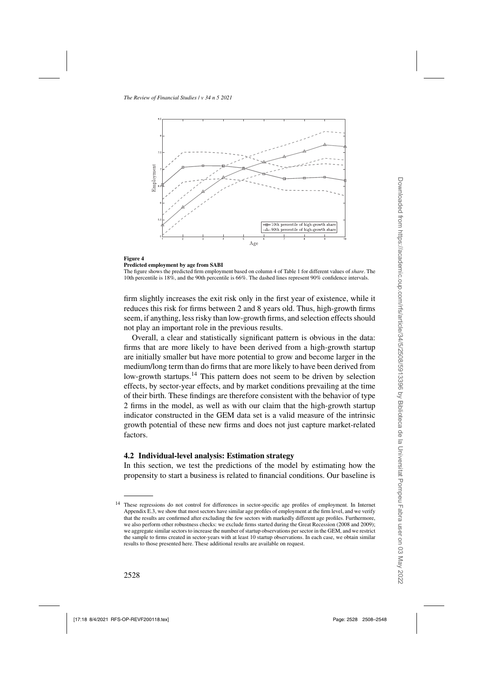<span id="page-20-0"></span>

# **Figure 4 Predicted employment by age from SABI**

The figure shows the predicted firm employment based on column 4 of Table [1](#page-19-0) for different values of *share*. The 10th percentile is 18%, and the 90th percentile is 66%. The dashed lines represent 90% confidence intervals.

firm slightly increases the exit risk only in the first year of existence, while it reduces this risk for firms between 2 and 8 years old. Thus, high-growth firms seem, if anything, less risky than low-growth firms, and selection effects should not play an important role in the previous results.

Overall, a clear and statistically significant pattern is obvious in the data: firms that are more likely to have been derived from a high-growth startup are initially smaller but have more potential to grow and become larger in the medium/long term than do firms that are more likely to have been derived from low-growth startups.<sup>14</sup> This pattern does not seem to be driven by selection effects, by sector-year effects, and by market conditions prevailing at the time of their birth. These findings are therefore consistent with the behavior of type 2 firms in the model, as well as with our claim that the high-growth startup indicator constructed in the GEM data set is a valid measure of the intrinsic growth potential of these new firms and does not just capture market-related factors.

# **4.2 Individual-level analysis: Estimation strategy**

In this section, we test the predictions of the model by estimating how the propensity to start a business is related to financial conditions. Our baseline is

<sup>14</sup> These regressions do not control for differences in sector-specific age profiles of employment. In [Internet](https://academic.oup.com/rfs/article-lookup/doi/10.1093/rfs/hhaa112#supplementary-data) [Appendix E.3,](https://academic.oup.com/rfs/article-lookup/doi/10.1093/rfs/hhaa112#supplementary-data) we show that most sectors have similar age profiles of employment at the firm level, and we verify that the results are confirmed after excluding the few sectors with markedly different age profiles. Furthermore, we also perform other robustness checks: we exclude firms started during the Great Recession (2008 and 2009); we aggregate similar sectors to increase the number of startup observations per sector in the GEM, and we restrict the sample to firms created in sector-years with at least 10 startup observations. In each case, we obtain similar results to those presented here. These additional results are available on request.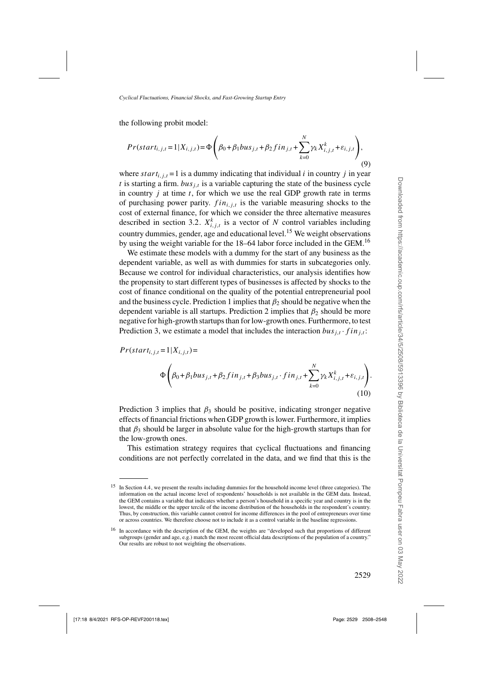<span id="page-21-0"></span>the following probit model:

$$
Pr(start_{i,j,t} = 1 | X_{i,j,t}) = \Phi\left(\beta_0 + \beta_1 bus_{j,t} + \beta_2 fin_{j,t} + \sum_{k=0}^{N} \gamma_k X_{i,j,t}^k + \varepsilon_{i,j,t}\right),\tag{9}
$$

where  $start_{i,j,t} = 1$  is a dummy indicating that individual *i* in country *j* in year  $t$  is starting a firm.  $bus_{i,t}$  is a variable capturing the state of the business cycle in country *j* at time *t*, for which we use the real GDP growth rate in terms of purchasing power parity.  $fin_{i,j,t}$  is the variable measuring shocks to the cost of external finance, for which we consider the three alternative measures described in section [3.2.](#page-15-0)  $X_{i,j,t}^k$  is a vector of *N* control variables including country dummies, gender, age and educational level.<sup>15</sup> We weight observations by using the weight variable for the 18–64 labor force included in the GEM.<sup>16</sup>

We estimate these models with a dummy for the start of any business as the dependent variable, as well as with dummies for starts in subcategories only. Because we control for individual characteristics, our analysis identifies how the propensity to start different types of businesses is affected by shocks to the cost of finance conditional on the quality of the potential entrepreneurial pool and the business cycle. Prediction 1 implies that  $\beta_2$  should be negative when the dependent variable is all startups. Prediction 2 implies that  $\beta_2$  should be more negative for high-growth startups than for low-growth ones. Furthermore, to test Prediction 3, we estimate a model that includes the interaction  $bus_{i,t} \cdot fin_{j,t}$ :

$$
Pr(start_{i,j,t} = 1 | X_{i,j,t}) =
$$
\n
$$
\Phi \left( \beta_0 + \beta_1 bus_{j,t} + \beta_2 fin_{j,t} + \beta_3 bus_{j,t} \cdot fin_{j,t} + \sum_{k=0}^{N} \gamma_k X_{i,j,t}^k + \varepsilon_{i,j,t} \right).
$$
\n(10)

Prediction 3 implies that  $\beta_3$  should be positive, indicating stronger negative effects of financial frictions when GDP growth is lower. Furthermore, it implies that  $\beta_3$  should be larger in absolute value for the high-growth startups than for the low-growth ones.

This estimation strategy requires that cyclical fluctuations and financing conditions are not perfectly correlated in the data, and we find that this is the

<sup>&</sup>lt;sup>15</sup> In Section [4.4,](#page-26-0) we present the results including dummies for the household income level (three categories). The information on the actual income level of respondents' households is not available in the GEM data. Instead, the GEM contains a variable that indicates whether a person's household in a specific year and country is in the lowest, the middle or the upper tercile of the income distribution of the households in the respondent's country. Thus, by construction, this variable cannot control for income differences in the pool of entrepreneurs over time or across countries. We therefore choose not to include it as a control variable in the baseline regressions.

<sup>&</sup>lt;sup>16</sup> In accordance with the description of the GEM, the weights are "developed such that proportions of different subgroups (gender and age, e.g.) match the most recent official data descriptions of the population of a country." Our results are robust to not weighting the observations.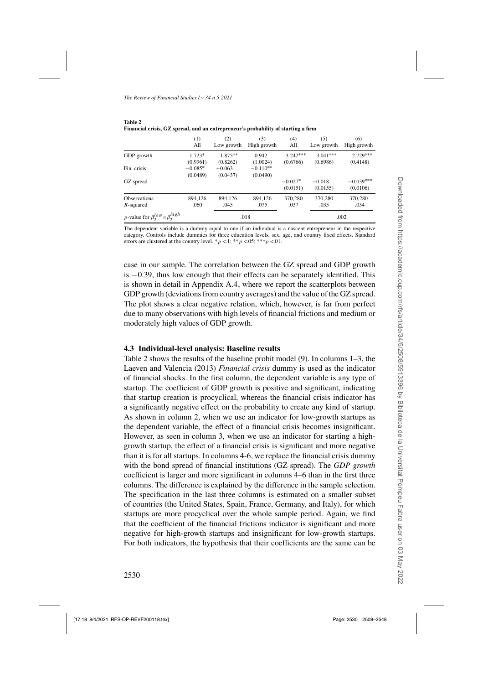|                                                      | (1)                   | (2)                  | (3)                    | (4)                   | (5)                  | (6)                     |
|------------------------------------------------------|-----------------------|----------------------|------------------------|-----------------------|----------------------|-------------------------|
|                                                      | All                   | Low growth           | High growth            | All                   | Low growth           | High growth             |
| GDP growth                                           | $1.723*$              | $1.875***$           | 0.942                  | $3.242***$            | $3.041***$           | $2.729***$              |
|                                                      | (0.9961)              | (0.8262)             | (1.0024)               | (0.6766)              | (0.6986)             | (0.4148)                |
| Fin. crisis                                          | $-0.085*$<br>(0.0489) | $-0.063$<br>(0.0437) | $-0.110**$<br>(0.0490) |                       |                      |                         |
| GZ spread                                            |                       |                      |                        | $-0.027*$<br>(0.0151) | $-0.018$<br>(0.0155) | $-0.039***$<br>(0.0106) |
| <b>Observations</b>                                  | 894.126               | 894.126              | 894.126                | 370,280               | 370,280              | 370,280                 |
| $R$ -squared                                         | .060                  | .045                 | .075                   | .037                  | .035                 | .034                    |
| <i>p</i> -value for $\beta_2^{low} = \beta_2^{high}$ |                       | .018                 |                        |                       |                      | .002                    |

<span id="page-22-0"></span>

| Table 2 |                                                                                   |
|---------|-----------------------------------------------------------------------------------|
|         | Financial crisis, GZ spread, and an entrepreneur's probability of starting a firm |

The dependent variable is a dummy equal to one if an individual is a nascent entrepreneur in the respective category. Controls include dummies for three education levels, sex, age, and country fixed effects. Standard errors are clustered at the country level. \**p* <.1; \*\**p* <.05; \*\*\**p* <.01.

case in our sample. The correlation between the GZ spread and GDP growth is −0.39, thus low enough that their effects can be separately identified. This is shown in detail in Appendix [A.4,](#page-36-0) where we report the scatterplots between GDP growth (deviations from country averages) and the value of the GZ spread. The plot shows a clear negative relation, which, however, is far from perfect due to many observations with high levels of financial frictions and medium or moderately high values of GDP growth.

# **4.3 Individual-level analysis: Baseline results**

Table 2 shows the results of the baseline probit model [\(9\)](#page-21-0). In columns 1–3, the Laeven and Valencia (2013) *Financial crisis* dummy is used as the indicator of financial shocks. In the first column, the dependent variable is any type of startup. The coefficient of GDP growth is positive and significant, indicating that startup creation is procyclical, whereas the financial crisis indicator has a significantly negative effect on the probability to create any kind of startup. As shown in column 2, when we use an indicator for low-growth startups as the dependent variable, the effect of a financial crisis becomes insignificant. However, as seen in column 3, when we use an indicator for starting a highgrowth startup, the effect of a financial crisis is significant and more negative than it is for all startups. In columns 4-6, we replace the financial crisis dummy with the bond spread of financial institutions (GZ spread). The *GDP growth* coefficient is larger and more significant in columns 4–6 than in the first three columns. The difference is explained by the difference in the sample selection. The specification in the last three columns is estimated on a smaller subset of countries (the United States, Spain, France, Germany, and Italy), for which startups are more procyclical over the whole sample period. Again, we find that the coefficient of the financial frictions indicator is significant and more negative for high-growth startups and insignificant for low-growth startups. For both indicators, the hypothesis that their coefficients are the same can be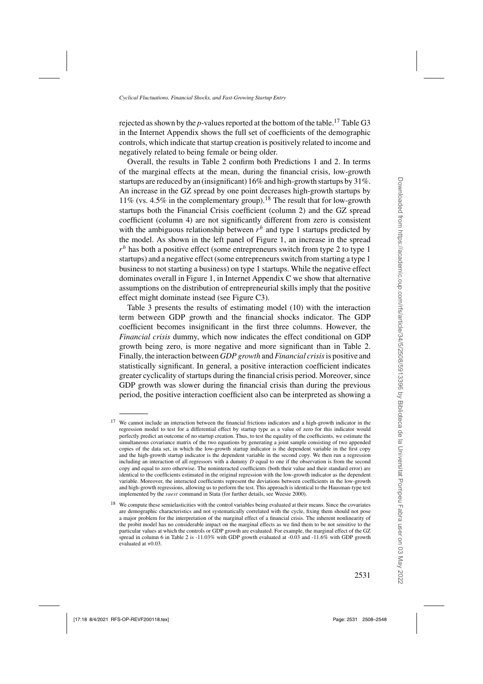rejected as shown by the  $p$ -values reported at the bottom of the table.<sup>17</sup> [Table G3](https://academic.oup.com/rfs/article-lookup/doi/10.1093/rfs/hhaa112#supplementary-data) in the [Internet Appendix](https://academic.oup.com/rfs/article-lookup/doi/10.1093/rfs/hhaa112#supplementary-data) shows the full set of coefficients of the demographic controls, which indicate that startup creation is positively related to income and negatively related to being female or being older.

Overall, the results in Table [2](#page-22-0) confirm both Predictions 1 and 2. In terms of the marginal effects at the mean, during the financial crisis, low-growth startups are reduced by an (insignificant) 16% and high-growth startups by 31%. An increase in the GZ spread by one point decreases high-growth startups by  $11\%$  (vs. 4.5% in the complementary group).<sup>18</sup> The result that for low-growth startups both the Financial Crisis coefficient (column 2) and the GZ spread coefficient (column 4) are not significantly different from zero is consistent with the ambiguous relationship between  $r<sup>b</sup>$  and type 1 startups predicted by the model. As shown in the left panel of Figure [1,](#page-11-0) an increase in the spread  $r<sup>b</sup>$  has both a positive effect (some entrepreneurs switch from type 2 to type 1 startups) and a negative effect (some entrepreneurs switch from starting a type 1 business to not starting a business) on type 1 startups. While the negative effect dominates overall in Figure [1,](#page-11-0) in [Internet Appendix C](https://academic.oup.com/rfs/article-lookup/doi/10.1093/rfs/hhaa112#supplementary-data) we show that alternative assumptions on the distribution of entrepreneurial skills imply that the positive effect might dominate instead (see Figure C3).

Table [3](#page-24-0) presents the results of estimating model [\(10\)](#page-21-0) with the interaction term between GDP growth and the financial shocks indicator. The GDP coefficient becomes insignificant in the first three columns. However, the *Financial crisis* dummy, which now indicates the effect conditional on GDP growth being zero, is more negative and more significant than in Table [2.](#page-22-0) Finally, the interaction between *GDP growth* and *Financial crisis*is positive and statistically significant. In general, a positive interaction coefficient indicates greater cyclicality of startups during the financial crisis period. Moreover, since GDP growth was slower during the financial crisis than during the previous period, the positive interaction coefficient also can be interpreted as showing a

<sup>&</sup>lt;sup>17</sup> We cannot include an interaction between the financial frictions indicators and a high-growth indicator in the regression model to test for a differential effect by startup type as a value of zero for this indicator would perfectly predict an outcome of no startup creation. Thus, to test the equality of the coefficients, we estimate the simultaneous covariance matrix of the two equations by generating a joint sample consisting of two appended copies of the data set, in which the low-growth startup indicator is the dependent variable in the first copy and the high-growth startup indicator is the dependent variable in the second copy. We then run a regression including an interaction of all regressors with a dummy *D* equal to one if the observation is from the second copy and equal to zero otherwise. The noninteracted coefficients (both their value and their standard error) are identical to the coefficients estimated in the original regression with the low-growth indicator as the dependent variable. Moreover, the interacted coefficients represent the deviations between coefficients in the low-growth and high-growth regressions, allowing us to perform the test. This approach is identical to the Hausman-type test implemented by the *suest* command in Stata (for further details, see [Weesie 2000](#page-40-0)).

<sup>&</sup>lt;sup>18</sup> We compute these semielasticities with the control variables being evaluated at their means. Since the covariates are demographic characteristics and not systematically correlated with the cycle, fixing them should not pose a major problem for the interpretation of the marginal effect of a financial crisis. The inherent nonlinearity of the probit model has no considerable impact on the marginal effects as we find them to be not sensitive to the particular values at which the controls or GDP growth are evaluated. For example, the marginal effect of the GZ spread in column 6 in Table [2](#page-22-0) is -11.03% with GDP growth evaluated at -0.03 and -11.6% with GDP growth evaluated at +0.03.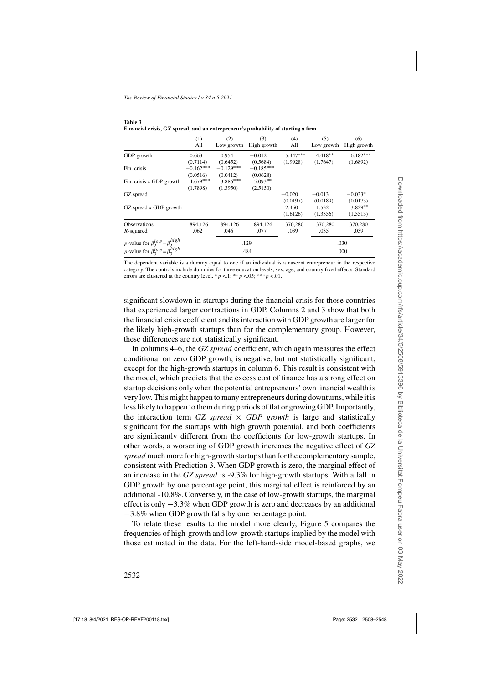|                                                                                                              | (1)<br>All              | (2)<br>Low growth       | (3)<br>High growth      | (4)<br>All             | (5)<br>Low growth     | (6)<br>High growth     |
|--------------------------------------------------------------------------------------------------------------|-------------------------|-------------------------|-------------------------|------------------------|-----------------------|------------------------|
| GDP growth                                                                                                   | 0.663<br>(0.7114)       | 0.954<br>(0.6452)       | $-0.012$<br>(0.5684)    | $5.447***$<br>(1.9928) | $4.418**$<br>(1.7647) | $6.182***$<br>(1.6892) |
| Fin. crisis                                                                                                  | $-0.162***$<br>(0.0516) | $-0.129***$<br>(0.0412) | $-0.185***$<br>(0.0628) |                        |                       |                        |
| Fin. crisis x GDP growth                                                                                     | $4.679***$<br>(1.7898)  | $3.886***$<br>(1.3950)  | $5.093**$<br>(2.5150)   |                        |                       |                        |
| GZ spread                                                                                                    |                         |                         |                         | $-0.020$<br>(0.0197)   | $-0.013$<br>(0.0189)  | $-0.033*$<br>(0.0173)  |
| GZ spread x GDP growth                                                                                       |                         |                         |                         | 2.450<br>(1.6126)      | 1.532<br>(1.3356)     | $3.829**$<br>(1.5513)  |
| <b>Observations</b><br>R-squared                                                                             | 894,126<br>.062         | 894,126<br>.046         | 894,126<br>.077         | 370,280<br>.039        | 370,280<br>.035       | 370,280<br>.039        |
| <i>p</i> -value for $\beta_2^{low} = \beta_2^{high}$<br><i>p</i> -value for $\beta_3^{low} = \beta_3^{high}$ |                         | .129<br>.484            |                         |                        | .030<br>.000          |                        |

<span id="page-24-0"></span>

| Table 3 |                                                                                   |  |
|---------|-----------------------------------------------------------------------------------|--|
|         | Financial crisis, GZ spread, and an entrepreneur's probability of starting a firm |  |

The dependent variable is a dummy equal to one if an individual is a nascent entrepreneur in the respective category. The controls include dummies for three education levels, sex, age, and country fixed effects. Standard errors are clustered at the country level.  $* p < 0.1$ ;  $** p < 0.05$ ;  $*** p < 0.01$ .

significant slowdown in startups during the financial crisis for those countries that experienced larger contractions in GDP. Columns 2 and 3 show that both the financial crisis coefficient and its interaction with GDP growth are larger for the likely high-growth startups than for the complementary group. However, these differences are not statistically significant.

In columns 4–6, the *GZ spread* coefficient, which again measures the effect conditional on zero GDP growth, is negative, but not statistically significant, except for the high-growth startups in column 6. This result is consistent with the model, which predicts that the excess cost of finance has a strong effect on startup decisions only when the potential entrepreneurs' own financial wealth is very low. This might happen to many entrepreneurs during downturns, while it is less likely to happen to them during periods of flat or growing GDP. Importantly, the interaction term  $GZ$  spread  $\times$  GDP growth is large and statistically significant for the startups with high growth potential, and both coefficients are significantly different from the coefficients for low-growth startups. In other words, a worsening of GDP growth increases the negative effect of *GZ spread* much more for high-growth startups than for the complementary sample, consistent with Prediction 3. When GDP growth is zero, the marginal effect of an increase in the *GZ spread* is -9.3% for high-growth startups. With a fall in GDP growth by one percentage point, this marginal effect is reinforced by an additional -10.8%. Conversely, in the case of low-growth startups, the marginal effect is only −3.3% when GDP growth is zero and decreases by an additional −3.8% when GDP growth falls by one percentage point.

To relate these results to the model more clearly, Figure [5](#page-25-0) compares the frequencies of high-growth and low-growth startups implied by the model with those estimated in the data. For the left-hand-side model-based graphs, we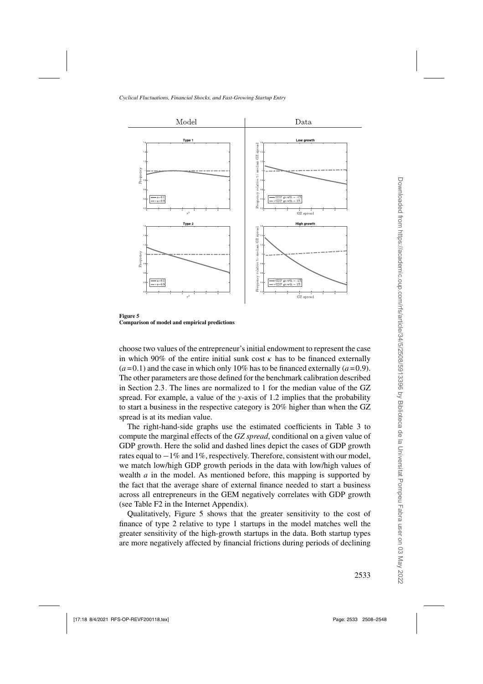<span id="page-25-0"></span>

**Figure 5 Comparison of model and empirical predictions**

choose two values of the entrepreneur's initial endowment to represent the case in which 90% of the entire initial sunk cost  $\kappa$  has to be financed externally  $(a=0.1)$  and the case in which only 10% has to be financed externally  $(a=0.9)$ . The other parameters are those defined for the benchmark calibration described in Section [2.3.](#page-7-0) The lines are normalized to 1 for the median value of the GZ spread. For example, a value of the *y*-axis of 1.2 implies that the probability to start a business in the respective category is 20% higher than when the GZ spread is at its median value.

The right-hand-side graphs use the estimated coefficients in Table [3](#page-24-0) to compute the marginal effects of the *GZ spread*, conditional on a given value of GDP growth. Here the solid and dashed lines depict the cases of GDP growth rates equal to −1% and 1%, respectively. Therefore, consistent with our model, we match low/high GDP growth periods in the data with low/high values of wealth *a* in the model. As mentioned before, this mapping is supported by the fact that the average share of external finance needed to start a business across all entrepreneurs in the GEM negatively correlates with GDP growth (see [Table F2](https://academic.oup.com/rfs/article-lookup/doi/10.1093/rfs/hhaa112#supplementary-data) in the [Internet Appendix\)](https://academic.oup.com/rfs/article-lookup/doi/10.1093/rfs/hhaa112#supplementary-data).

Qualitatively, Figure 5 shows that the greater sensitivity to the cost of finance of type 2 relative to type 1 startups in the model matches well the greater sensitivity of the high-growth startups in the data. Both startup types are more negatively affected by financial frictions during periods of declining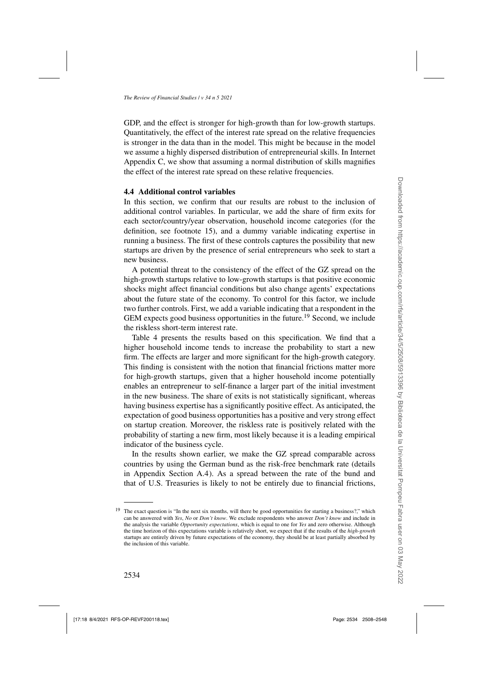<span id="page-26-0"></span>GDP, and the effect is stronger for high-growth than for low-growth startups. Quantitatively, the effect of the interest rate spread on the relative frequencies is stronger in the data than in the model. This might be because in the model we assume a highly dispersed distribution of entrepreneurial skills. In [Internet](https://academic.oup.com/rfs/article-lookup/doi/10.1093/rfs/hhaa112#supplementary-data) [Appendix C,](https://academic.oup.com/rfs/article-lookup/doi/10.1093/rfs/hhaa112#supplementary-data) we show that assuming a normal distribution of skills magnifies the effect of the interest rate spread on these relative frequencies.

### **4.4 Additional control variables**

In this section, we confirm that our results are robust to the inclusion of additional control variables. In particular, we add the share of firm exits for each sector/country/year observation, household income categories (for the definition, see footnote [15\)](#page-21-0), and a dummy variable indicating expertise in running a business. The first of these controls captures the possibility that new startups are driven by the presence of serial entrepreneurs who seek to start a new business.

A potential threat to the consistency of the effect of the GZ spread on the high-growth startups relative to low-growth startups is that positive economic shocks might affect financial conditions but also change agents' expectations about the future state of the economy. To control for this factor, we include two further controls. First, we add a variable indicating that a respondent in the GEM expects good business opportunities in the future.<sup>19</sup> Second, we include the riskless short-term interest rate.

Table [4](#page-27-0) presents the results based on this specification. We find that a higher household income tends to increase the probability to start a new firm. The effects are larger and more significant for the high-growth category. This finding is consistent with the notion that financial frictions matter more for high-growth startups, given that a higher household income potentially enables an entrepreneur to self-finance a larger part of the initial investment in the new business. The share of exits is not statistically significant, whereas having business expertise has a significantly positive effect. As anticipated, the expectation of good business opportunities has a positive and very strong effect on startup creation. Moreover, the riskless rate is positively related with the probability of starting a new firm, most likely because it is a leading empirical indicator of the business cycle.

In the results shown earlier, we make the GZ spread comparable across countries by using the German bund as the risk-free benchmark rate (details in Appendix Section [A.4\)](#page-36-0). As a spread between the rate of the bund and that of U.S. Treasuries is likely to not be entirely due to financial frictions,

<sup>&</sup>lt;sup>19</sup> The exact question is "In the next six months, will there be good opportunities for starting a business?," which can be answered with *Yes*, *No* or *Don't know*. We exclude respondents who answer *Don't know* and include in the analysis the variable *Opportunity expectations*, which is equal to one for *Yes* and zero otherwise. Although the time horizon of this expectations variable is relatively short, we expect that if the results of the *high-growth* startups are entirely driven by future expectations of the economy, they should be at least partially absorbed by the inclusion of this variable.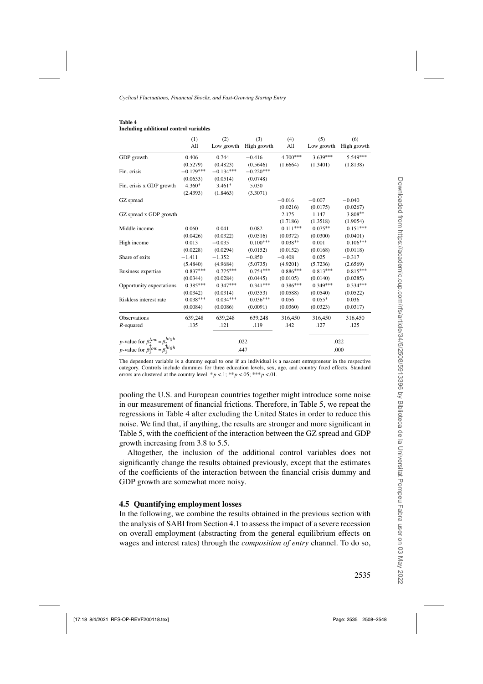<span id="page-27-0"></span>

| Table 4                                |
|----------------------------------------|
| Including additional control variables |

|                                                                                                              | (1)         | (2)         | (3)         | (4)        | (5)        | (6)         |
|--------------------------------------------------------------------------------------------------------------|-------------|-------------|-------------|------------|------------|-------------|
|                                                                                                              | All         | Low growth  | High growth | All        | Low growth | High growth |
| GDP growth                                                                                                   | 0.406       | 0.744       | $-0.416$    | 4.700***   | $3.639***$ | 5.549***    |
|                                                                                                              | (0.5279)    | (0.4823)    | (0.5646)    | (1.6664)   | (1.3401)   | (1.8138)    |
| Fin. crisis                                                                                                  | $-0.179***$ | $-0.134***$ | $-0.220***$ |            |            |             |
|                                                                                                              | (0.0633)    | (0.0514)    | (0.0748)    |            |            |             |
| Fin. crisis x GDP growth                                                                                     | $4.360*$    | $3.461*$    | 5.030       |            |            |             |
|                                                                                                              | (2.4393)    | (1.8463)    | (3.3071)    |            |            |             |
| GZ spread                                                                                                    |             |             |             | $-0.016$   | $-0.007$   | $-0.040$    |
|                                                                                                              |             |             |             | (0.0216)   | (0.0175)   | (0.0267)    |
| GZ spread x GDP growth                                                                                       |             |             |             | 2.175      | 1.147      | $3.808**$   |
|                                                                                                              |             |             |             | (1.7186)   | (1.3518)   | (1.9054)    |
| Middle income                                                                                                | 0.060       | 0.041       | 0.082       | $0.111***$ | $0.075**$  | $0.151***$  |
|                                                                                                              | (0.0426)    | (0.0322)    | (0.0516)    | (0.0372)   | (0.0300)   | (0.0401)    |
| High income                                                                                                  | 0.013       | $-0.035$    | $0.100***$  | $0.038**$  | 0.001      | $0.106***$  |
|                                                                                                              | (0.0228)    | (0.0294)    | (0.0152)    | (0.0152)   | (0.0168)   | (0.0118)    |
| Share of exits                                                                                               | $-1.411$    | $-1.352$    | $-0.850$    | $-0.408$   | 0.025      | $-0.317$    |
|                                                                                                              | (5.4840)    | (4.9684)    | (5.0735)    | (4.9201)   | (5.7236)   | (2.6569)    |
| <b>Business expertise</b>                                                                                    | $0.837***$  | $0.775***$  | $0.754***$  | $0.886***$ | $0.813***$ | $0.815***$  |
|                                                                                                              | (0.0344)    | (0.0284)    | (0.0445)    | (0.0105)   | (0.0140)   | (0.0285)    |
| Opportunity expectations                                                                                     | $0.385***$  | $0.347***$  | $0.341***$  | $0.386***$ | $0.349***$ | $0.334***$  |
|                                                                                                              | (0.0342)    | (0.0314)    | (0.0353)    | (0.0588)   | (0.0540)   | (0.0522)    |
| Riskless interest rate                                                                                       | $0.038***$  | $0.034***$  | $0.036***$  | 0.056      | $0.055*$   | 0.036       |
|                                                                                                              | (0.0084)    | (0.0086)    | (0.0091)    | (0.0360)   | (0.0323)   | (0.0317)    |
| <b>Observations</b>                                                                                          | 639,248     | 639,248     | 639,248     | 316,450    | 316,450    | 316,450     |
| $R$ -squared                                                                                                 | .135        | .121        | .119        | .142       | .127       | .125        |
|                                                                                                              |             |             | .022        |            |            | .022        |
| <i>p</i> -value for $\beta_2^{low} = \beta_2^{high}$<br><i>p</i> -value for $\beta_3^{low} = \beta_3^{high}$ |             |             | .447        |            |            | .000        |

The dependent variable is a dummy equal to one if an individual is a nascent entrepreneur in the respective category. Controls include dummies for three education levels, sex, age, and country fixed effects. Standard errors are clustered at the country level.  $* p < 0.1$ ;  $** p < 0.05$ ;  $*** p < 0.01$ .

pooling the U.S. and European countries together might introduce some noise in our measurement of financial frictions. Therefore, in Table [5,](#page-28-0) we repeat the regressions in Table 4 after excluding the United States in order to reduce this noise. We find that, if anything, the results are stronger and more significant in Table [5,](#page-28-0) with the coefficient of the interaction between the GZ spread and GDP growth increasing from 3.8 to 5.5.

Altogether, the inclusion of the additional control variables does not significantly change the results obtained previously, except that the estimates of the coefficients of the interaction between the financial crisis dummy and GDP growth are somewhat more noisy.

# **4.5 Quantifying employment losses**

In the following, we combine the results obtained in the previous section with the analysis of SABI from Section [4.1](#page-17-0) to assess the impact of a severe recession on overall employment (abstracting from the general equilibrium effects on wages and interest rates) through the *composition of entry* channel. To do so,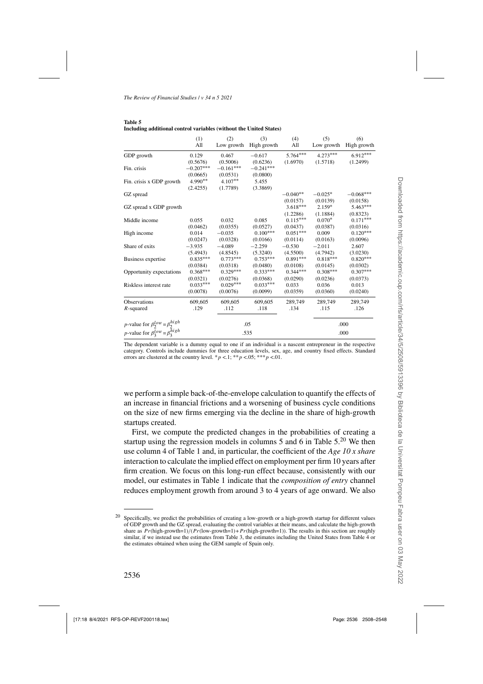|                                                                                | (1)                     | (2)                     | (3)                     | (4)                    | (5)                   | (6)                     |
|--------------------------------------------------------------------------------|-------------------------|-------------------------|-------------------------|------------------------|-----------------------|-------------------------|
|                                                                                | All                     | Low growth              | High growth             | All                    | Low growth            | High growth             |
| GDP growth                                                                     | 0.129                   | 0.467                   | $-0.617$                | 5.764***               | $4.273***$            | $6.912***$              |
|                                                                                | (0.5676)                | (0.5006)                | (0.6236)                | (1.6970)               | (1.5718)              | (1.2499)                |
| Fin. crisis                                                                    | $-0.207***$<br>(0.0665) | $-0.161***$<br>(0.0531) | $-0.241***$<br>(0.0800) |                        |                       |                         |
| Fin. crisis x GDP growth                                                       | $4.990**$<br>(2.4255)   | $4.107**$<br>(1.7789)   | 5.455<br>(3.3869)       |                        |                       |                         |
| GZ spread                                                                      |                         |                         |                         | $-0.040**$<br>(0.0157) | $-0.025*$<br>(0.0139) | $-0.068***$<br>(0.0158) |
| GZ spread x GDP growth                                                         |                         |                         |                         | $3.618***$<br>(1.2286) | $2.159*$<br>(1.1884)  | 5.463***<br>(0.8323)    |
| Middle income                                                                  | 0.055                   | 0.032                   | 0.085                   | $0.115***$             | $0.070*$              | $0.171***$              |
|                                                                                | (0.0462)                | (0.0355)                | (0.0527)                | (0.0437)               | (0.0387)              | (0.0316)                |
| High income                                                                    | 0.014                   | $-0.035$                | $0.100***$              | $0.051***$             | 0.009                 | $0.120***$              |
|                                                                                | (0.0247)                | (0.0328)                | (0.0166)                | (0.0114)               | (0.0163)              | (0.0096)                |
| Share of exits                                                                 | $-3.935$                | $-4.089$                | $-2.259$                | $-0.530$               | $-2.011$              | 2.607                   |
|                                                                                | (5.4943)                | (4.8545)                | (5.3240)                | (4.5500)               | (4.7942)              | (3.0230)                |
| Business expertise                                                             | $0.835***$              | $0.773***$              | $0.753***$              | $0.891***$             | $0.818***$            | $0.820***$              |
|                                                                                | (0.0384)                | (0.0318)                | (0.0480)                | (0.0108)               | (0.0145)              | (0.0302)                |
| Opportunity expectations                                                       | $0.368***$              | $0.329***$              | $0.333***$              | $0.344***$             | $0.308***$            | $0.307***$              |
|                                                                                | (0.0321)                | (0.0276)                | (0.0368)                | (0.0290)               | (0.0236)              | (0.0373)                |
| Riskless interest rate                                                         | $0.033***$              | $0.029***$              | $0.033***$              | 0.033                  | 0.036                 | 0.013                   |
|                                                                                | (0.0078)                | (0.0076)                | (0.0099)                | (0.0359)               | (0.0360)              | (0.0240)                |
| <b>Observations</b>                                                            | 609,605                 | 609,605                 | 609,605                 | 289,749                | 289,749               | 289,749                 |
| $R$ -squared                                                                   | .129                    | .112                    | .118                    | .134                   | .115                  | .126                    |
| <i>p</i> -value for $\beta_2^{low} = \beta_2^{high}$                           |                         |                         | .05                     |                        |                       | .000                    |
| <i>p</i> -value for $\beta_3^{\overline{I}\omega} = \beta_3^{\overline{h}igh}$ |                         |                         | .535                    |                        |                       | .000                    |

<span id="page-28-0"></span>

| Table 5                                                            |  |  |
|--------------------------------------------------------------------|--|--|
| Including additional control variables (without the United States) |  |  |

The dependent variable is a dummy equal to one if an individual is a nascent entrepreneur in the respective category. Controls include dummies for three education levels, sex, age, and country fixed effects. Standard errors are clustered at the country level.  $* p < 1$ ;  $** p < .05$ ;  $*** p < .01$ .

we perform a simple back-of-the-envelope calculation to quantify the effects of an increase in financial frictions and a worsening of business cycle conditions on the size of new firms emerging via the decline in the share of high-growth startups created.

First, we compute the predicted changes in the probabilities of creating a startup using the regression models in columns  $5$  and  $6$  in Table  $5.^{20}$  We then use column 4 of Table [1](#page-19-0) and, in particular, the coefficient of the *Age 10 x share* interaction to calculate the implied effect on employment per firm 10 years after firm creation. We focus on this long-run effect because, consistently with our model, our estimates in Table [1](#page-19-0) indicate that the *composition of entry* channel reduces employment growth from around 3 to 4 years of age onward. We also

<sup>&</sup>lt;sup>20</sup> Specifically, we predict the probabilities of creating a low-growth or a high-growth startup for different values of GDP growth and the GZ spread, evaluating the control variables at their means, and calculate the high-growth share as  $Pr(\text{high-growth=1})/(Pr(\text{low-growth=1})+Pr(\text{high-growth=1})).$  The results in this section are roughly similar, if we instead use the estimates from Table [3,](#page-24-0) the estimates including the United States from Table [4](#page-27-0) or the estimates obtained when using the GEM sample of Spain only.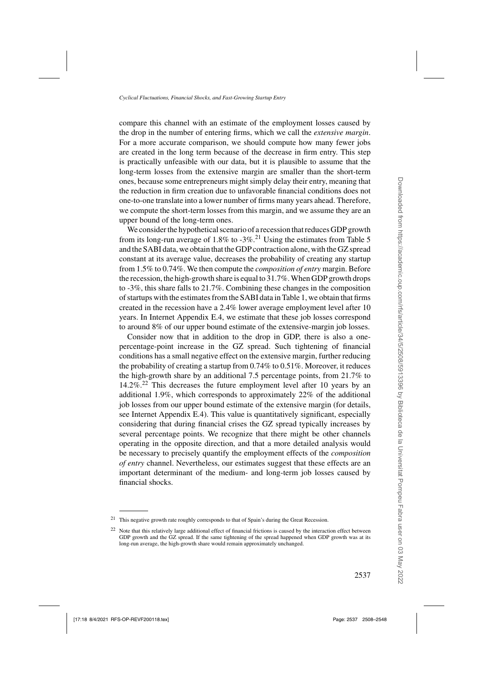compare this channel with an estimate of the employment losses caused by the drop in the number of entering firms, which we call the *extensive margin*. For a more accurate comparison, we should compute how many fewer jobs are created in the long term because of the decrease in firm entry. This step is practically unfeasible with our data, but it is plausible to assume that the long-term losses from the extensive margin are smaller than the short-term ones, because some entrepreneurs might simply delay their entry, meaning that the reduction in firm creation due to unfavorable financial conditions does not one-to-one translate into a lower number of firms many years ahead. Therefore, we compute the short-term losses from this margin, and we assume they are an upper bound of the long-term ones.

We consider the hypothetical scenario of a recession that reduces GDP growth from its long-run average of 1.8% to -3%.<sup>21</sup> Using the estimates from Table [5](#page-28-0) and the SABI data, we obtain that the GDP contraction alone, with the GZ spread constant at its average value, decreases the probability of creating any startup from 1.5% to 0.74%. We then compute the *composition of entry* margin. Before the recession, the high-growth share is equal to  $31.7\%$ . When GDP growth drops to -3%, this share falls to 21.7%. Combining these changes in the composition of startups with the estimates from the SABI data in Table [1,](#page-19-0) we obtain that firms created in the recession have a 2.4% lower average employment level after 10 years. In [Internet Appendix E.4,](https://academic.oup.com/rfs/article-lookup/doi/10.1093/rfs/hhaa112#supplementary-data) we estimate that these job losses correspond to around 8% of our upper bound estimate of the extensive-margin job losses.

Consider now that in addition to the drop in GDP, there is also a onepercentage-point increase in the GZ spread. Such tightening of financial conditions has a small negative effect on the extensive margin, further reducing the probability of creating a startup from 0.74% to 0.51%. Moreover, it reduces the high-growth share by an additional 7.5 percentage points, from 21.7% to 14.2%.22 This decreases the future employment level after 10 years by an additional 1.9%, which corresponds to approximately 22% of the additional job losses from our upper bound estimate of the extensive margin (for details, see [Internet Appendix E.4\)](https://academic.oup.com/rfs/article-lookup/doi/10.1093/rfs/hhaa112#supplementary-data). This value is quantitatively significant, especially considering that during financial crises the GZ spread typically increases by several percentage points. We recognize that there might be other channels operating in the opposite direction, and that a more detailed analysis would be necessary to precisely quantify the employment effects of the *composition of entry* channel. Nevertheless, our estimates suggest that these effects are an important determinant of the medium- and long-term job losses caused by financial shocks.

<sup>&</sup>lt;sup>21</sup> This negative growth rate roughly corresponds to that of Spain's during the Great Recession.

<sup>&</sup>lt;sup>22</sup> Note that this relatively large additional effect of financial frictions is caused by the interaction effect between GDP growth and the GZ spread. If the same tightening of the spread happened when GDP growth was at its long-run average, the high-growth share would remain approximately unchanged.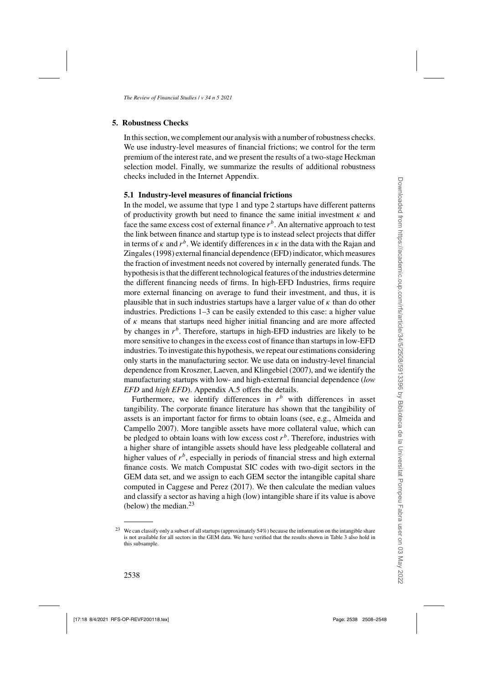#### <span id="page-30-0"></span>**5. Robustness Checks**

In this section, we complement our analysis with a number of robustness checks. We use industry-level measures of financial frictions; we control for the term premium of the interest rate, and we present the results of a two-stage Heckman selection model. Finally, we summarize the results of additional robustness checks included in the [Internet Appendix.](https://academic.oup.com/rfs/article-lookup/doi/10.1093/rfs/hhaa112#supplementary-data)

### **5.1 Industry-level measures of financial frictions**

In the model, we assume that type 1 and type 2 startups have different patterns of productivity growth but need to finance the same initial investment  $\kappa$  and face the same excess cost of external finance  $r<sup>b</sup>$ . An alternative approach to test the link between finance and startup type is to instead select projects that differ in terms of  $\kappa$  and  $r^b$ [. We identify differences in](#page-40-0)  $\kappa$  in the data with the Rajan and Zingales [\(1998](#page-40-0)) external financial dependence (EFD) indicator, which measures the fraction of investment needs not covered by internally generated funds. The hypothesis is that the different technological features of the industries determine the different financing needs of firms. In high-EFD Industries, firms require more external financing on average to fund their investment, and thus, it is plausible that in such industries startups have a larger value of *κ* than do other industries. Predictions 1–3 can be easily extended to this case: a higher value of *κ* means that startups need higher initial financing and are more affected by changes in  $r^b$ . Therefore, startups in high-EFD industries are likely to be more sensitive to changes in the excess cost of finance than startups in low-EFD industries. To investigate this hypothesis, we repeat our estimations considering only starts in the manufacturing sector. We use data on industry-level financial dependence from [Kroszner, Laeven, and Klingebiel](#page-40-0) [\(2007\)](#page-40-0), and we identify the manufacturing startups with low- and high-external financial dependence (*low EFD* and *high EFD*). Appendix [A.5](#page-37-0) offers the details.

Furthermore, we identify differences in  $r<sup>b</sup>$  with differences in asset tangibility. The corporate finance literature has shown that the tangibility of assets is [an](#page-38-0) [important](#page-38-0) [factor](#page-38-0) [for](#page-38-0) [firms](#page-38-0) [to](#page-38-0) [obtain](#page-38-0) [loans](#page-38-0) [\(see,](#page-38-0) [e.g.,](#page-38-0) Almeida and Campello [2007](#page-38-0)). More tangible assets have more collateral value, which can be pledged to obtain loans with low excess cost  $r<sup>b</sup>$ . Therefore, industries with a higher share of intangible assets should have less pledgeable collateral and higher values of  $r^b$ , especially in periods of financial stress and high external finance costs. We match Compustat SIC codes with two-digit sectors in the GEM data set, and we assign to each GEM sector the intangible capital share computed in [Caggese and Perez](#page-39-0) [\(2017](#page-39-0)). We then calculate the median values and classify a sector as having a high (low) intangible share if its value is above (below) the median. $^{23}$ 

<sup>&</sup>lt;sup>23</sup> We can classify only a subset of all startups (approximately 54%) because the information on the intangible share is not available for all sectors in the GEM data. We have verified that the results shown in Table [3](#page-24-0) also hold in this subsample.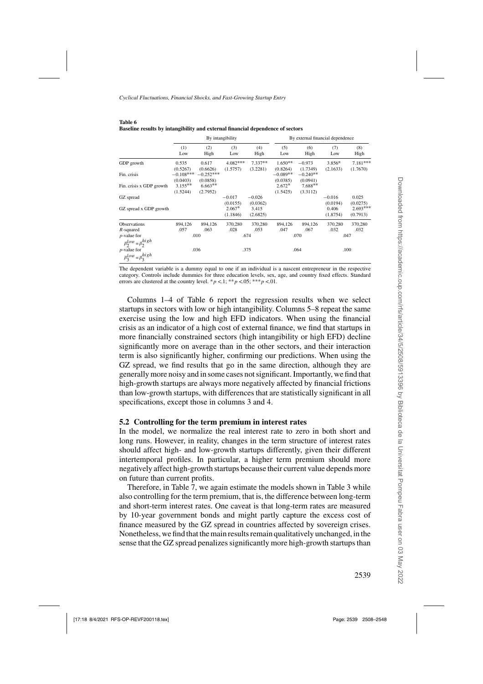|                                                    | By intangibility        |                         |                        | By external financial dependence |                        |                        |                      |                        |
|----------------------------------------------------|-------------------------|-------------------------|------------------------|----------------------------------|------------------------|------------------------|----------------------|------------------------|
|                                                    | (1)<br>Low              | (2)<br>High             | (3)<br>Low             | (4)<br>High                      | (5)<br>Low             | (6)<br>High            | (7)<br>Low           | (8)<br>High            |
| GDP growth                                         | 0.535<br>(0.5267)       | 0.617<br>(0.6626)       | $4.082***$<br>(1.5757) | $7.337**$<br>(3.2281)            | $1.650**$<br>(0.8264)  | $-0.973$<br>(1.7349)   | $3.856*$<br>(2.1633) | $7.181***$<br>(1.7670) |
| Fin. crisis                                        | $-0.108***$<br>(0.0403) | $-0.252***$<br>(0.0858) |                        |                                  | $-0.089**$<br>(0.0385) | $-0.240**$<br>(0.0941) |                      |                        |
| Fin. crisis x GDP growth                           | $3.155***$<br>(1.5244)  | $6.663**$<br>(2.7952)   |                        |                                  | $2.672*$<br>(1.5425)   | $7.688**$<br>(3.3112)  |                      |                        |
| GZ spread                                          |                         |                         | $-0.017$<br>(0.0155)   | $-0.026$<br>(0.0362)             |                        |                        | $-0.016$<br>(0.0194) | 0.025<br>(0.0275)      |
| GZ spread x GDP growth                             |                         |                         | $2.067*$<br>(1.1846)   | 3.415<br>(2.6825)                |                        |                        | 0.406<br>(1.8754)    | $2.693***$<br>(0.7913) |
| <b>Observations</b>                                | 894,126                 | 894,126                 | 370,280                | 370,280                          | 894,126                | 894,126                | 370,280              | 370,280                |
| $R$ -squared                                       | .057                    | .063                    | .028                   | .053                             | .047                   | .067                   | .032                 | .032                   |
| $p$ -value for<br>$\beta_2^{low} = \beta_2^{high}$ |                         | .010                    |                        | .674                             |                        | .070                   |                      | .047                   |
| $p$ -value for<br>$\beta_3^{low} = \beta_3^{high}$ |                         | .036                    |                        | .375                             |                        | .064                   |                      | .100                   |

**Table 6 Baseline results by intangibility and external financial dependence of sectors**

The dependent variable is a dummy equal to one if an individual is a nascent entrepreneur in the respective category. Controls include dummies for three education levels, sex, age, and country fixed effects. Standard errors are clustered at the country level.  $* p < 1$ ;  $** p < .05$ ;  $*** p < .01$ .

Columns 1–4 of Table 6 report the regression results when we select startups in sectors with low or high intangibility. Columns 5–8 repeat the same exercise using the low and high EFD indicators. When using the financial crisis as an indicator of a high cost of external finance, we find that startups in more financially constrained sectors (high intangibility or high EFD) decline significantly more on average than in the other sectors, and their interaction term is also significantly higher, confirming our predictions. When using the GZ spread, we find results that go in the same direction, although they are generally more noisy and in some cases not significant. Importantly, we find that high-growth startups are always more negatively affected by financial frictions than low-growth startups, with differences that are statistically significant in all specifications, except those in columns 3 and 4.

# **5.2 Controlling for the term premium in interest rates**

In the model, we normalize the real interest rate to zero in both short and long runs. However, in reality, changes in the term structure of interest rates should affect high- and low-growth startups differently, given their different intertemporal profiles. In particular, a higher term premium should more negatively affect high-growth startups because their current value depends more on future than current profits.

Therefore, in Table [7,](#page-32-0) we again estimate the models shown in Table [3](#page-24-0) while also controlling for the term premium, that is, the difference between long-term and short-term interest rates. One caveat is that long-term rates are measured by 10-year government bonds and might partly capture the excess cost of finance measured by the GZ spread in countries affected by sovereign crises. Nonetheless, we find that the main results remain qualitatively unchanged, in the sense that the GZ spread penalizes significantly more high-growth startups than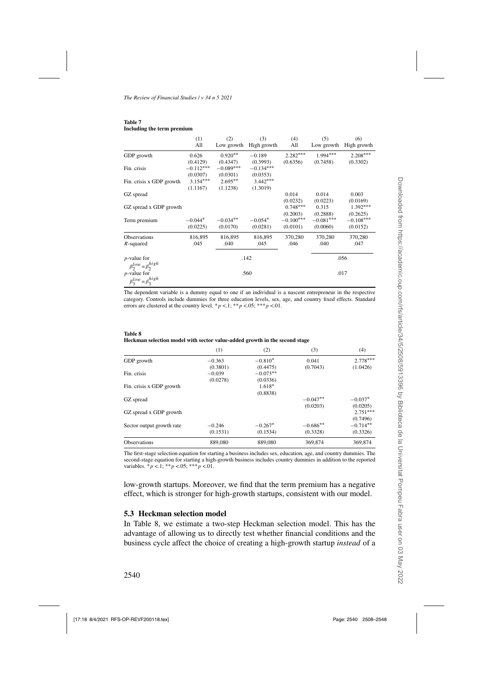#### <span id="page-32-0"></span>**Table 7 Including the term premium**

|                                                    | (1)<br>All              | (2)<br>Low growth       | (3)<br>High growth      | (4)<br>All              | (5)<br>Low growth       | (6)<br>High growth      |
|----------------------------------------------------|-------------------------|-------------------------|-------------------------|-------------------------|-------------------------|-------------------------|
| GDP growth                                         | 0.626<br>(0.4129)       | $0.920**$<br>(0.4347)   | $-0.189$<br>(0.3993)    | $2.282***$<br>(0.6356)  | $1.994***$<br>(0.7458)  | $2.208***$<br>(0.3302)  |
| Fin. crisis                                        | $-0.112***$<br>(0.0307) | $-0.089***$<br>(0.0301) | $-0.134***$<br>(0.0353) |                         |                         |                         |
| Fin. crisis x GDP growth                           | $3.154***$<br>(1.1167)  | $2.695**$<br>(1.1238)   | $3.442***$<br>(1.3019)  |                         |                         |                         |
| GZ spread                                          |                         |                         |                         | 0.014<br>(0.0232)       | 0.014<br>(0.0223)       | 0.003<br>(0.0169)       |
| GZ spread x GDP growth                             |                         |                         |                         | $0.748***$<br>(0.2003)  | 0.315<br>(0.2888)       | $1.392***$<br>(0.2625)  |
| Term premium                                       | $-0.044*$<br>(0.0225)   | $-0.034**$<br>(0.0170)  | $-0.054*$<br>(0.0281)   | $-0.100***$<br>(0.0101) | $-0.081***$<br>(0.0060) | $-0.108***$<br>(0.0152) |
| <b>Observations</b><br>R-squared                   | 816,895<br>.045         | 816,895<br>.040         | 816,895<br>.045         | 370,280<br>.046         | 370,280<br>.040         | 370,280<br>.047         |
| $p$ -value for<br>$\beta_2^{low} = \beta_2^{high}$ |                         |                         | .142                    |                         |                         | .056                    |
| $p$ -value for<br>$\beta_3^{low} = \beta_3^{high}$ |                         |                         | .560                    |                         |                         | .017                    |

The dependent variable is a dummy equal to one if an individual is a nascent entrepreneur in the respective category. Controls include dummies for three education levels, sex, age, and country fixed effects. Standard errors are clustered at the country level.  $* p < 1$ ;  $** p < .05$ ;  $*** p < .01$ .

| Table 8                                                                    |
|----------------------------------------------------------------------------|
| Heckman selection model with sector value-added growth in the second stage |

|                           | (1)      | (2)        | (3)        | (4)        |
|---------------------------|----------|------------|------------|------------|
| GDP growth                | $-0.363$ | $-0.810*$  | 0.041      | $2.778***$ |
|                           | (0.3801) | (0.4475)   | (0.7043)   | (1.0426)   |
| Fin. crisis               | $-0.039$ | $-0.073**$ |            |            |
|                           | (0.0278) | (0.0336)   |            |            |
| Fin. crisis x GDP growth  |          | 1.618*     |            |            |
|                           |          | (0.8838)   |            |            |
| GZ spread                 |          |            | $-0.047**$ | $-0.037*$  |
|                           |          |            | (0.0203)   | (0.0205)   |
| GZ spread x GDP growth    |          |            |            | $2.751***$ |
|                           |          |            |            | (0.7496)   |
| Sector output growth rate | $-0.246$ | $-0.267*$  | $-0.686**$ | $-0.714**$ |
|                           | (0.1531) | (0.1534)   | (0.3328)   | (0.3326)   |
| <b>Observations</b>       | 889.080  | 889,080    | 369,874    | 369,874    |

The first-stage selection equation for starting a business includes sex, education, age, and country dummies. The second-stage equation for starting a high-growth business includes country dummies in addition to the reported variables.  $* p < 1$ ;  $** p < .05$ ;  $*** p < .01$ .

low-growth startups. Moreover, we find that the term premium has a negative effect, which is stronger for high-growth startups, consistent with our model.

# **5.3 Heckman selection model**

In Table 8, we estimate a two-step Heckman selection model. This has the advantage of allowing us to directly test whether financial conditions and the business cycle affect the choice of creating a high-growth startup *instead* of a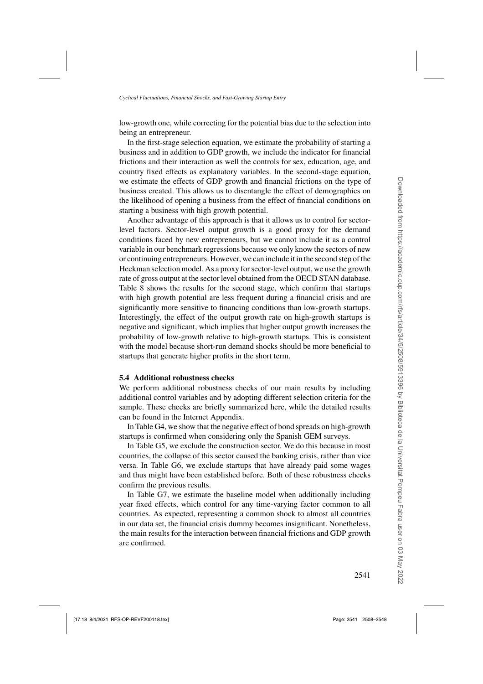low-growth one, while correcting for the potential bias due to the selection into being an entrepreneur.

In the first-stage selection equation, we estimate the probability of starting a business and in addition to GDP growth, we include the indicator for financial frictions and their interaction as well the controls for sex, education, age, and country fixed effects as explanatory variables. In the second-stage equation, we estimate the effects of GDP growth and financial frictions on the type of business created. This allows us to disentangle the effect of demographics on the likelihood of opening a business from the effect of financial conditions on starting a business with high growth potential.

Another advantage of this approach is that it allows us to control for sectorlevel factors. Sector-level output growth is a good proxy for the demand conditions faced by new entrepreneurs, but we cannot include it as a control variable in our benchmark regressions because we only know the sectors of new or continuing entrepreneurs. However, we can include it in the second step of the Heckman selection model. As a proxy for sector-level output, we use the growth rate of gross output at the sector level obtained from the OECD STAN database. Table [8](#page-32-0) shows the results for the second stage, which confirm that startups with high growth potential are less frequent during a financial crisis and are significantly more sensitive to financing conditions than low-growth startups. Interestingly, the effect of the output growth rate on high-growth startups is negative and significant, which implies that higher output growth increases the probability of low-growth relative to high-growth startups. This is consistent with the model because short-run demand shocks should be more beneficial to startups that generate higher profits in the short term.

# **5.4 Additional robustness checks**

We perform additional robustness checks of our main results by including additional control variables and by adopting different selection criteria for the sample. These checks are briefly summarized here, while the detailed results can be found in the [Internet Appendix.](https://academic.oup.com/rfs/article-lookup/doi/10.1093/rfs/hhaa112#supplementary-data)

In Table G4, we show that the negative effect of bond spreads on high-growth startups is confirmed when considering only the Spanish GEM surveys.

In Table G5, we exclude the construction sector. We do this because in most countries, the collapse of this sector caused the banking crisis, rather than vice versa. In Table G6, we exclude startups that have already paid some wages and thus might have been established before. Both of these robustness checks confirm the previous results.

In Table G7, we estimate the baseline model when additionally including year fixed effects, which control for any time-varying factor common to all countries. As expected, representing a common shock to almost all countries in our data set, the financial crisis dummy becomes insignificant. Nonetheless, the main results for the interaction between financial frictions and GDP growth are confirmed.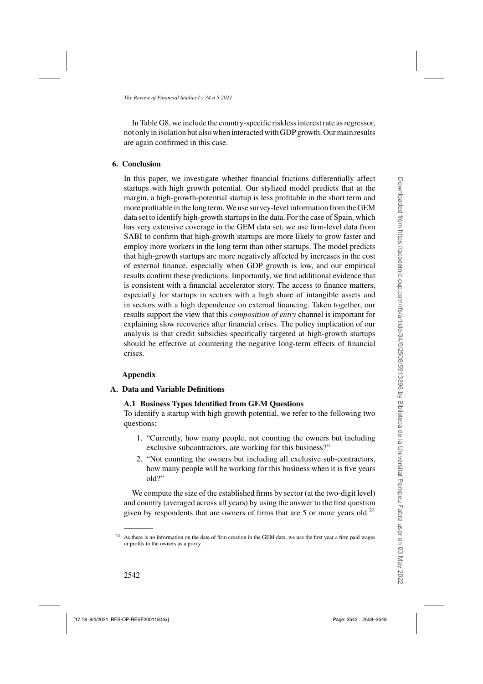In Table G8, we include the country-specific riskless interest rate as regressor, not only in isolation but also when interacted with GDP growth. Our main results are again confirmed in this case.

### **6. Conclusion**

In this paper, we investigate whether financial frictions differentially affect startups with high growth potential. Our stylized model predicts that at the margin, a high-growth-potential startup is less profitable in the short term and more profitable in the long term.We use survey-level information from the GEM data set to identify high-growth startups in the data. For the case of Spain, which has very extensive coverage in the GEM data set, we use firm-level data from SABI to confirm that high-growth startups are more likely to grow faster and employ more workers in the long term than other startups. The model predicts that high-growth startups are more negatively affected by increases in the cost of external finance, especially when GDP growth is low, and our empirical results confirm these predictions. Importantly, we find additional evidence that is consistent with a financial accelerator story. The access to finance matters, especially for startups in sectors with a high share of intangible assets and in sectors with a high dependence on external financing. Taken together, our results support the view that this *composition of entry* channel is important for explaining slow recoveries after financial crises. The policy implication of our analysis is that credit subsidies specifically targeted at high-growth startups should be effective at countering the negative long-term effects of financial crises.

# **Appendix**

### **A. Data and Variable Definitions**

# **A.1 Business Types Identified from GEM Questions**

To identify a startup with high growth potential, we refer to the following two questions:

- 1. "Currently, how many people, not counting the owners but including exclusive subcontractors, are working for this business?"
- 2. "Not counting the owners but including all exclusive sub-contractors, how many people will be working for this business when it is five years old?"

We compute the size of the established firms by sector (at the two-digit level) and country (averaged across all years) by using the answer to the first question given by respondents that are owners of firms that are 5 or more years old.<sup>24</sup>

<sup>&</sup>lt;sup>24</sup> As there is no information on the date of firm creation in the GEM data, we use the first year a firm paid wages or profits to the owners as a proxy.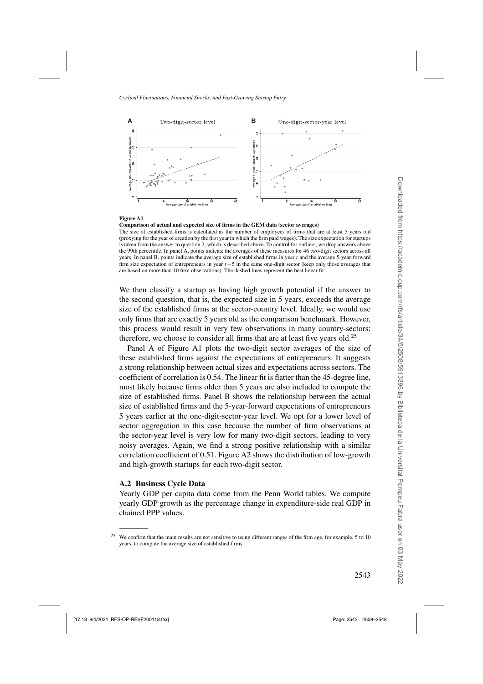<span id="page-35-0"></span>

**Figure A1**

**Comparison of actual and expected size of firms in the GEM data (sector averages)**

The size of established firms is calculated as the number of employees of firms that are at least 5 years old (proxying for the year of creation by the first year in which the firm paid wages). The size expectation for startups is taken from the answer to question 2, which is described above. To control for outliers, we drop answers above the 99th percentile. In panel A, points indicate the averages of these measures for 46 two-digit sectors across all years. In panel B, points indicate the average size of established firms in year *t* and the average 5-year-forward firm size expectation of entrepreneurs in year *t* −5 in the same one-digit sector (keep only those averages that are based on more than 10 firm observations). The dashed lines represent the best linear fit.

We then classify a startup as having high growth potential if the answer to the second question, that is, the expected size in 5 years, exceeds the average size of the established firms at the sector-country level. Ideally, we would use only firms that are exactly 5 years old as the comparison benchmark. However, this process would result in very few observations in many country-sectors; therefore, we choose to consider all firms that are at least five years old.<sup>25</sup>

Panel A of Figure [A1](#page-11-0) plots the two-digit sector averages of the size of these established firms against the expectations of entrepreneurs. It suggests a strong relationship between actual sizes and expectations across sectors. The coefficient of correlation is 0.54. The linear fit is flatter than the 45-degree line, most likely because firms older than 5 years are also included to compute the size of established firms. Panel B shows the relationship between the actual size of established firms and the 5-year-forward expectations of entrepreneurs 5 years earlier at the one-digit-sector-year level. We opt for a lower level of sector aggregation in this case because the number of firm observations at the sector-year level is very low for many two-digit sectors, leading to very noisy averages. Again, we find a strong positive relationship with a similar correlation coefficient of 0.51. Figure [A2](#page-11-0) shows the distribution of low-growth and high-growth startups for each two-digit sector.

#### **A.2 Business Cycle Data**

Yearly GDP per capita data come from the Penn World tables. We compute yearly GDP growth as the percentage change in expenditure-side real GDP in chained PPP values.

<sup>&</sup>lt;sup>25</sup> We confirm that the main results are not sensitive to using different ranges of the firm age, for example, 5 to 10 years, to compute the average size of established firms.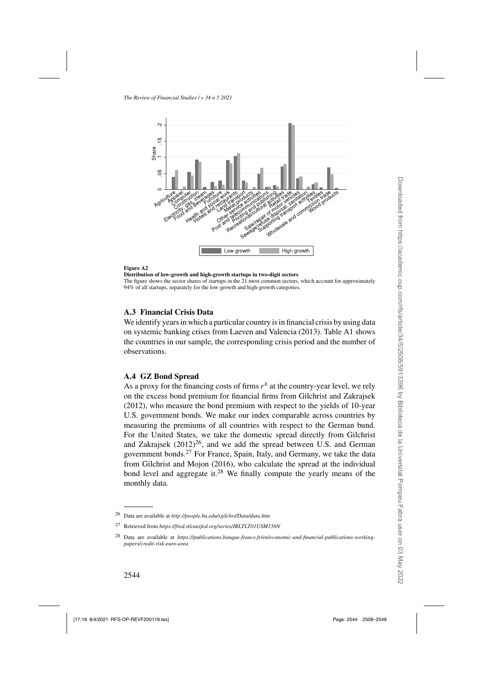<span id="page-36-0"></span>

#### **Figure A2**

**Distribution of low-growth and high-growth startups in two-digit sectors**

The figure shows the sector shares of startups in the 21 most common sectors, which account for approximately 94% of all startups, separately for the low-growth and high-growth categories.

# **A.3 Financial Crisis Data**

We identify years in which a particular country is in financial crisis by using data on systemic banking crises from [Laeven and Valencia](#page-40-0) [\(2013\)](#page-40-0). Table [A1](#page-19-0) shows the countries in our sample, the corresponding crisis period and the number of observations.

### **A.4 GZ Bond Spread**

As a proxy for the financing costs of firms  $r^b$  at the country-year level, we rely on the excess bond premium for financial firms from [Gilchrist and Zakrajsek](#page-39-0) [\(2012\)](#page-39-0), who measure the bond premium with respect to the yields of 10-year U.S. government bonds. We make our index comparable across countries by measuring the premiums of all countries with respect to the German bund. For the Unite[d States, we take the domestic spread directly from](#page-39-0) Gilchrist and Zakrajsek  $(2012)^{26}$  $(2012)^{26}$ , and we add the spread between U.S. and German government bonds.<sup>27</sup> For France, Spain, Italy, and Germany, we take the data from Gilchrist and Mojon (2016), who calculate the spread at the individual bond level and aggregate it.<sup>28</sup> We finally compute the yearly means of the monthly data.

<sup>26</sup> Data are available at *http://people.bu.edu/sgilchri/Data/data.htm*

<sup>27</sup> Retrieved from *https://fred.stlouisfed.org/series/IRLTLT01USM156N*

<sup>28</sup> Data are available at *https://publications.banque-france.fr/en/economic-and-financial-publications-workingpapers/credit-risk-euro-area*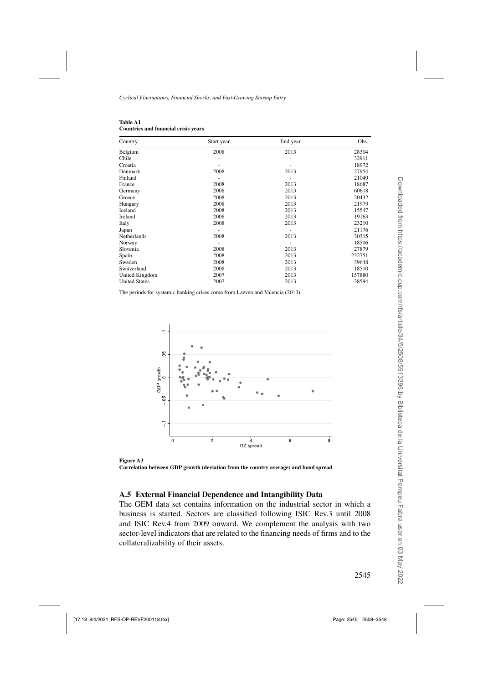| Country              | Start year | End year | Obs.   |
|----------------------|------------|----------|--------|
| Belgium              | 2008       | 2013     | 28304  |
| Chile                |            |          | 32911  |
| Croatia              |            |          | 18972  |
| Denmark              | 2008       | 2013     | 27954  |
| Finland              |            |          | 21049  |
| France               | 2008       | 2013     | 18687  |
| Germany              | 2008       | 2013     | 60618  |
| Greece               | 2008       | 2013     | 20432  |
| Hungary              | 2008       | 2013     | 21979  |
| Iceland              | 2008       | 2013     | 15547  |
| Ireland              | 2008       | 2013     | 19163  |
| Italy                | 2008       | 2013     | 23210  |
| Japan                |            |          | 21176  |
| <b>Netherlands</b>   | 2008       | 2013     | 30315  |
| Norway               |            |          | 18506  |
| Slovenia             | 2008       | 2013     | 27879  |
| Spain                | 2008       | 2013     | 232751 |
| Sweden               | 2008       | 2013     | 39648  |
| Switzerland          | 2008       | 2013     | 18510  |
| United Kingdom       | 2007       | 2013     | 157880 |
| <b>United States</b> | 2007       | 2013     | 38594  |

<span id="page-37-0"></span>

| <b>Table A1</b>                             |  |  |
|---------------------------------------------|--|--|
| <b>Countries and financial crisis years</b> |  |  |

The periods for systemic banking crises come from [Laeven and Valencia \(2013](#page-40-0)).



**Figure A3 Correlation between GDP growth (deviation from the country average) and bond spread**

# **A.5 External Financial Dependence and Intangibility Data**

The GEM data set contains information on the industrial sector in which a business is started. Sectors are classified following ISIC Rev.3 until 2008 and ISIC Rev.4 from 2009 onward. We complement the analysis with two sector-level indicators that are related to the financing needs of firms and to the collateralizability of their assets.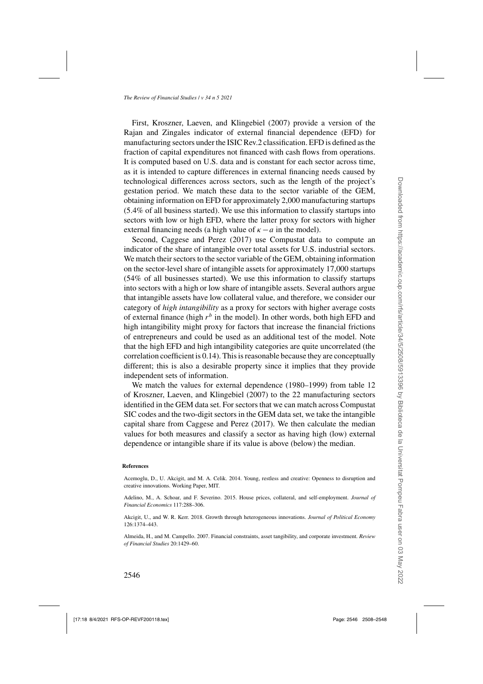<span id="page-38-0"></span>First, [Kroszner, Laeven, and Klingebiel](#page-40-0) [\(2007\)](#page-40-0) provide a version of the Rajan and Zingales indicator of external financial dependence (EFD) for manufacturing sectors under the ISIC Rev.2 classification. EFD is defined as the fraction of capital expenditures not financed with cash flows from operations. It is computed based on U.S. data and is constant for each sector across time, as it is intended to capture differences in external financing needs caused by technological differences across sectors, such as the length of the project's gestation period. We match these data to the sector variable of the GEM, obtaining information on EFD for approximately 2,000 manufacturing startups (5.4% of all business started). We use this information to classify startups into sectors with low or high EFD, where the latter proxy for sectors with higher external financing needs (a high value of  $\kappa - a$  in the model).

Second, [Caggese and Perez](#page-39-0) [\(2017](#page-39-0)) use Compustat data to compute an indicator of the share of intangible over total assets for U.S. industrial sectors. We match their sectors to the sector variable of the GEM, obtaining information on the sector-level share of intangible assets for approximately 17,000 startups (54% of all businesses started). We use this information to classify startups into sectors with a high or low share of intangible assets. Several authors argue that intangible assets have low collateral value, and therefore, we consider our category of *high intangibility* as a proxy for sectors with higher average costs of external finance (high *r<sup>b</sup>* in the model). In other words, both high EFD and high intangibility might proxy for factors that increase the financial frictions of entrepreneurs and could be used as an additional test of the model. Note that the high EFD and high intangibility categories are quite uncorrelated (the correlation coefficient is 0.14). This is reasonable because they are conceptually different; this is also a desirable property since it implies that they provide independent sets of information.

We match the values for external dependence (1980–1999) from table 12 of [Kroszner, Laeven, and Klingebiel](#page-40-0) [\(2007\)](#page-40-0) to the 22 manufacturing sectors identified in the GEM data set. For sectors that we can match across Compustat SIC codes and the two-digit sectors in the GEM data set, we take the intangible capital share from [Caggese and Perez](#page-39-0) [\(2017\)](#page-39-0). We then calculate the median values for both measures and classify a sector as having high (low) external dependence or intangible share if its value is above (below) the median.

#### **References**

Almeida, H., and M. Campello. 2007. Financial constraints, asset tangibility, and corporate investment. *Review of Financial Studies* 20:1429–60.

Acemoglu, D., U. Akcigit, and M. A. Celik. 2014. Young, restless and creative: Openness to disruption and creative innovations. Working Paper, MIT.

Adelino, M., A. Schoar, and F. Severino. 2015. House prices, collateral, and self-employment. *Journal of Financial Economics* 117:288–306.

Akcigit, U., and W. R. Kerr. 2018. Growth through heterogeneous innovations. *Journal of Political Economy* 126:1374–443.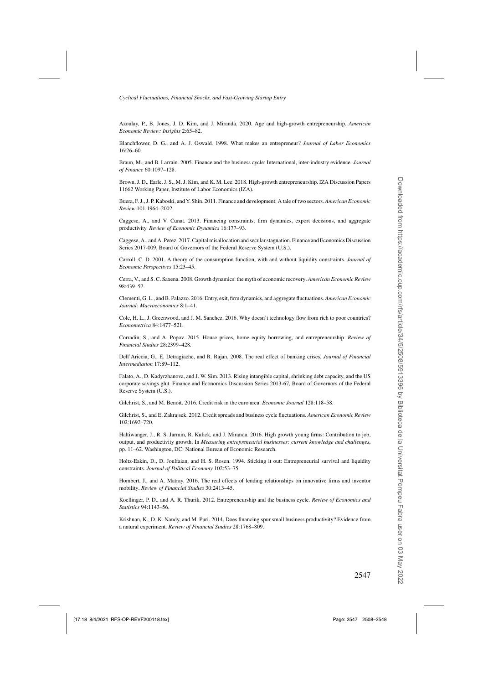<span id="page-39-0"></span>Azoulay, P., B. Jones, J. D. Kim, and J. Miranda. 2020. Age and high-growth entrepreneurship. *American Economic Review: Insights* 2:65–82.

Blanchflower, D. G., and A. J. Oswald. 1998. What makes an entrepreneur? *Journal of Labor Economics* 16:26–60.

Braun, M., and B. Larrain. 2005. Finance and the business cycle: International, inter-industry evidence. *Journal of Finance* 60:1097–128.

Brown, J. D., Earle, J. S., M. J. Kim, and K. M. Lee. 2018. High-growth entrepreneurship. IZA Discussion Papers 11662 Working Paper, Institute of Labor Economics (IZA).

Buera, F. J., J. P. Kaboski, and Y. Shin. 2011. Finance and development: A tale of two sectors. *American Economic Review* 101:1964–2002.

Caggese, A., and V. Cunat. 2013. Financing constraints, firm dynamics, export decisions, and aggregate productivity. *Review of Economic Dynamics* 16:177–93.

Caggese, A., and A. Perez. 2017. Capital misallocation and secular stagnation. Finance and Economics Discussion Series 2017-009, Board of Governors of the Federal Reserve System (U.S.).

Carroll, C. D. 2001. A theory of the consumption function, with and without liquidity constraints. *Journal of Economic Perspectives* 15:23–45.

Cerra, V., and S. C. Saxena. 2008. Growth dynamics: the myth of economic recovery. *American Economic Review* 98:439–57.

Clementi, G. L., and B. Palazzo. 2016. Entry, exit, firm dynamics, and aggregate fluctuations. *American Economic Journal: Macroeconomics* 8:1–41.

Cole, H. L., J. Greenwood, and J. M. Sanchez. 2016. Why doesn't technology flow from rich to poor countries? *Econometrica* 84:1477–521.

Corradin, S., and A. Popov. 2015. House prices, home equity borrowing, and entrepreneurship. *Review of Financial Studies* 28:2399–428.

Dell'Ariccia, G., E. Detragiache, and R. Rajan. 2008. The real effect of banking crises. *Journal of Financial Intermediation* 17:89–112.

Falato, A., D. Kadyrzhanova, and J. W. Sim. 2013. Rising intangible capital, shrinking debt capacity, and the US corporate savings glut. Finance and Economics Discussion Series 2013-67, Board of Governors of the Federal Reserve System (U.S.).

Gilchrist, S., and M. Benoit. 2016. Credit risk in the euro area. *Economic Journal* 128:118–58.

Gilchrist, S., and E. Zakrajsek. 2012. Credit spreads and business cycle fluctuations. *American Economic Review* 102:1692–720.

Haltiwanger, J., R. S. Jarmin, R. Kulick, and J. Miranda. 2016. High growth young firms: Contribution to job, output, and productivity growth. In *Measuring entrepreneurial businesses: current knowledge and challenges*, pp. 11–62. Washington, DC: National Bureau of Economic Research.

Holtz-Eakin, D., D. Joulfaian, and H. S. Rosen. 1994. Sticking it out: Entrepreneurial survival and liquidity constraints. *Journal of Political Economy* 102:53–75.

Hombert, J., and A. Matray. 2016. The real effects of lending relationships on innovative firms and inventor mobility. *Review of Financial Studies* 30:2413–45.

Koellinger, P. D., and A. R. Thurik. 2012. Entrepreneurship and the business cycle. *Review of Economics and Statistics* 94:1143–56.

Krishnan, K., D. K. Nandy, and M. Puri. 2014. Does financing spur small business productivity? Evidence from a natural experiment. *Review of Financial Studies* 28:1768–809.